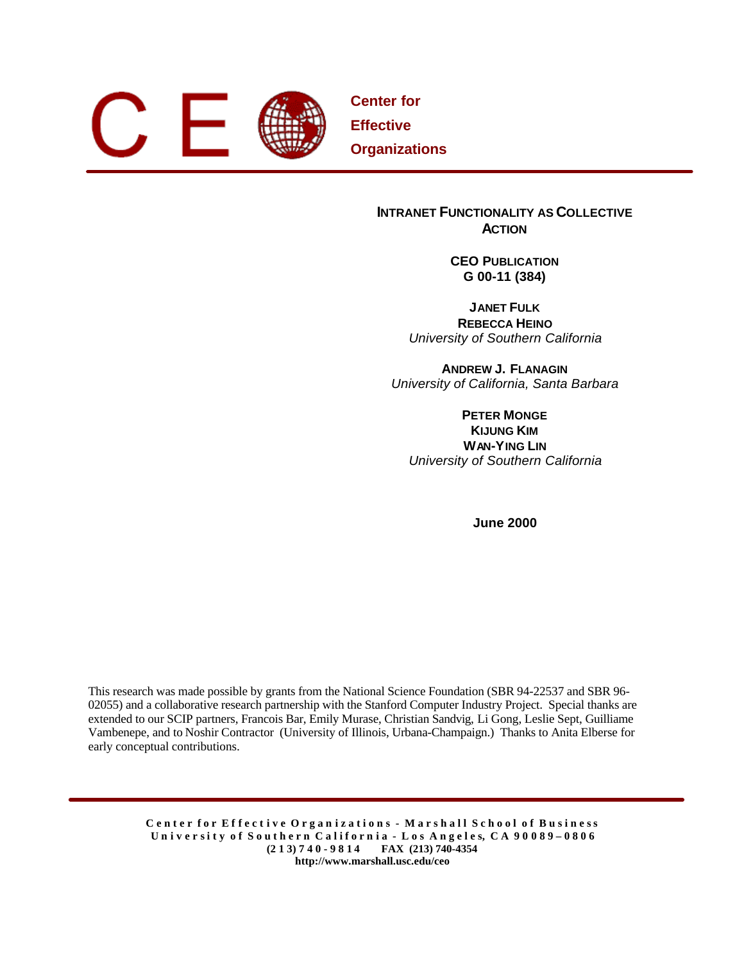

**Center for Effective Organizations**

## **INTRANET FUNCTIONALITY AS COLLECTIVE ACTION**

**CEO PUBLICATION G 00-11 (384)**

**JANET FULK REBECCA HEINO** *University of Southern California*

**ANDREW J. FLANAGIN** *University of California, Santa Barbara*

**PETER MONGE KIJUNG KIM WAN-YING LIN** *University of Southern California*

**June 2000**

This research was made possible by grants from the National Science Foundation (SBR 94-22537 and SBR 96- 02055) and a collaborative research partnership with the Stanford Computer Industry Project. Special thanks are extended to our SCIP partners, Francois Bar, Emily Murase, Christian Sandvig, Li Gong, Leslie Sept, Guilliame Vambenepe, and to Noshir Contractor (University of Illinois, Urbana-Champaign.) Thanks to Anita Elberse for early conceptual contributions.

> Center for Effective Organizations - Marshall School of Business University of Southern California - Los Angeles, CA 90089-0806 **(2 1 3) 7 4 0 - 9 8 1 4 FAX (213) 740-4354 http://www.marshall.usc.edu/ceo**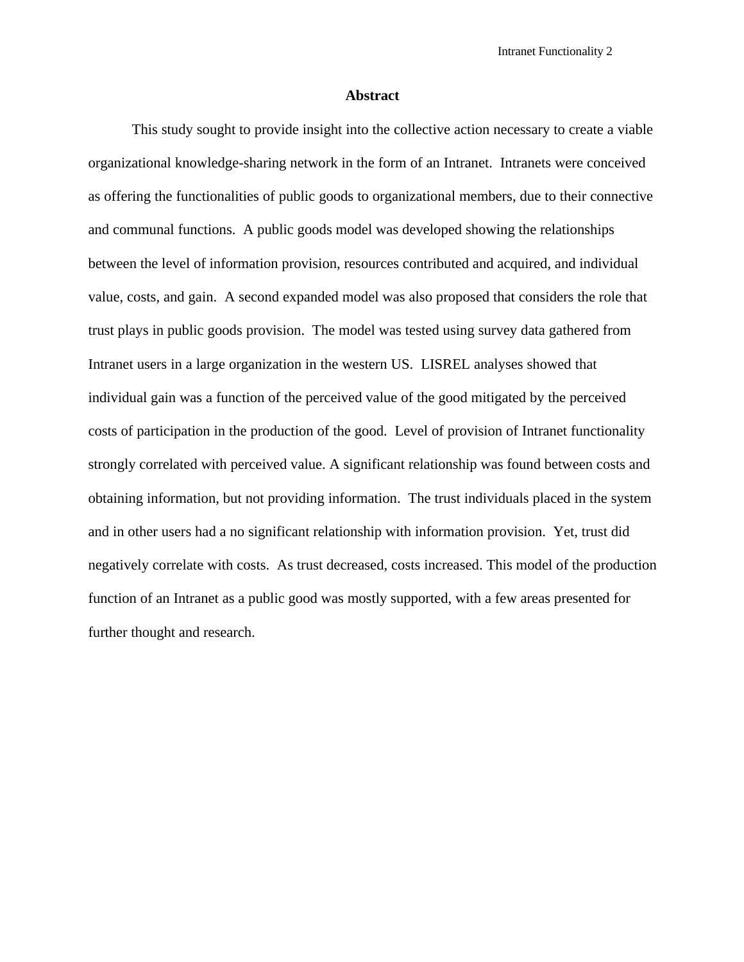#### **Abstract**

This study sought to provide insight into the collective action necessary to create a viable organizational knowledge-sharing network in the form of an Intranet. Intranets were conceived as offering the functionalities of public goods to organizational members, due to their connective and communal functions. A public goods model was developed showing the relationships between the level of information provision, resources contributed and acquired, and individual value, costs, and gain. A second expanded model was also proposed that considers the role that trust plays in public goods provision. The model was tested using survey data gathered from Intranet users in a large organization in the western US. LISREL analyses showed that individual gain was a function of the perceived value of the good mitigated by the perceived costs of participation in the production of the good. Level of provision of Intranet functionality strongly correlated with perceived value. A significant relationship was found between costs and obtaining information, but not providing information. The trust individuals placed in the system and in other users had a no significant relationship with information provision. Yet, trust did negatively correlate with costs. As trust decreased, costs increased. This model of the production function of an Intranet as a public good was mostly supported, with a few areas presented for further thought and research.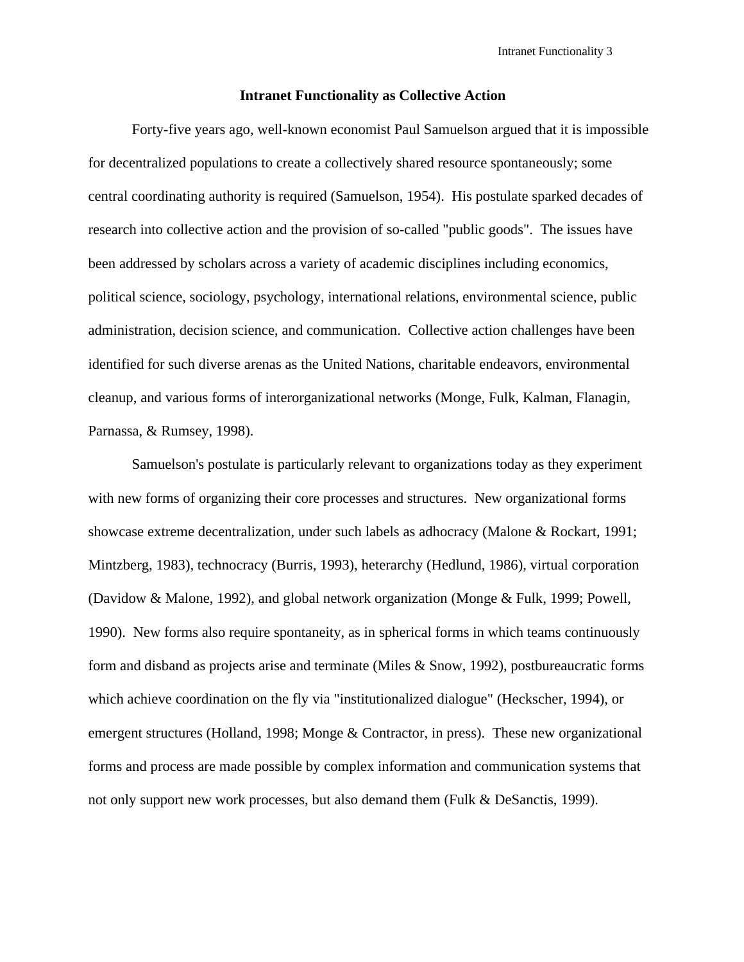#### **Intranet Functionality as Collective Action**

Forty-five years ago, well-known economist Paul Samuelson argued that it is impossible for decentralized populations to create a collectively shared resource spontaneously; some central coordinating authority is required (Samuelson, 1954). His postulate sparked decades of research into collective action and the provision of so-called "public goods". The issues have been addressed by scholars across a variety of academic disciplines including economics, political science, sociology, psychology, international relations, environmental science, public administration, decision science, and communication. Collective action challenges have been identified for such diverse arenas as the United Nations, charitable endeavors, environmental cleanup, and various forms of interorganizational networks (Monge, Fulk, Kalman, Flanagin, Parnassa, & Rumsey, 1998).

Samuelson's postulate is particularly relevant to organizations today as they experiment with new forms of organizing their core processes and structures. New organizational forms showcase extreme decentralization, under such labels as adhocracy (Malone & Rockart, 1991; Mintzberg, 1983), technocracy (Burris, 1993), heterarchy (Hedlund, 1986), virtual corporation (Davidow & Malone, 1992), and global network organization (Monge & Fulk, 1999; Powell, 1990). New forms also require spontaneity, as in spherical forms in which teams continuously form and disband as projects arise and terminate (Miles & Snow, 1992), postbureaucratic forms which achieve coordination on the fly via "institutionalized dialogue" (Heckscher, 1994), or emergent structures (Holland, 1998; Monge & Contractor, in press). These new organizational forms and process are made possible by complex information and communication systems that not only support new work processes, but also demand them (Fulk & DeSanctis, 1999).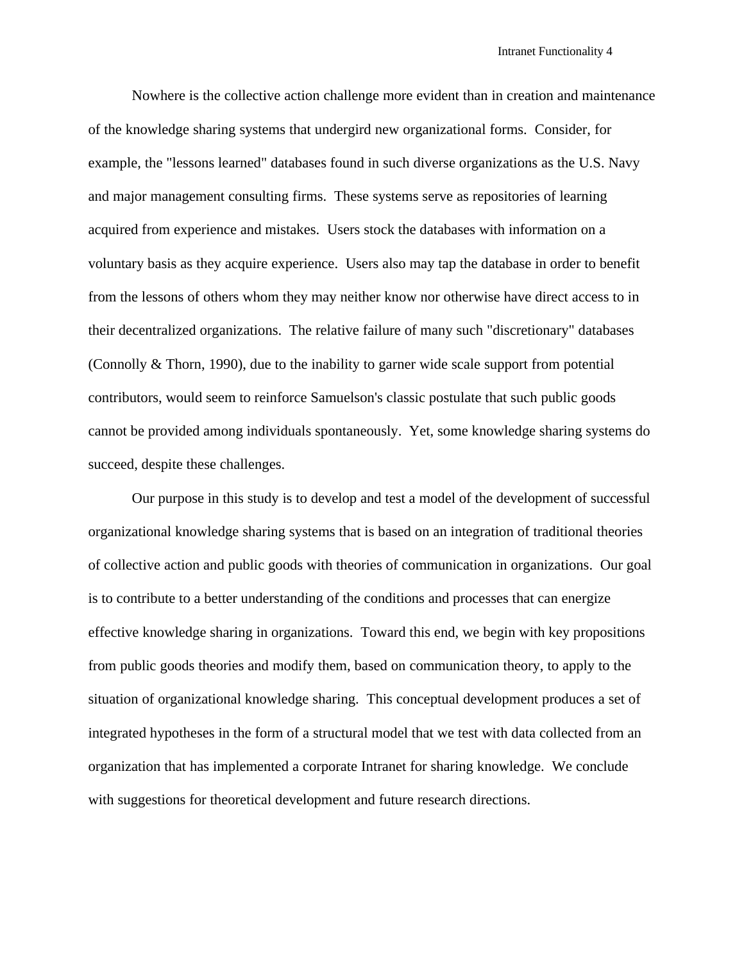Nowhere is the collective action challenge more evident than in creation and maintenance of the knowledge sharing systems that undergird new organizational forms. Consider, for example, the "lessons learned" databases found in such diverse organizations as the U.S. Navy and major management consulting firms. These systems serve as repositories of learning acquired from experience and mistakes. Users stock the databases with information on a voluntary basis as they acquire experience. Users also may tap the database in order to benefit from the lessons of others whom they may neither know nor otherwise have direct access to in their decentralized organizations. The relative failure of many such "discretionary" databases (Connolly & Thorn, 1990), due to the inability to garner wide scale support from potential contributors, would seem to reinforce Samuelson's classic postulate that such public goods cannot be provided among individuals spontaneously. Yet, some knowledge sharing systems do succeed, despite these challenges.

Our purpose in this study is to develop and test a model of the development of successful organizational knowledge sharing systems that is based on an integration of traditional theories of collective action and public goods with theories of communication in organizations. Our goal is to contribute to a better understanding of the conditions and processes that can energize effective knowledge sharing in organizations. Toward this end, we begin with key propositions from public goods theories and modify them, based on communication theory, to apply to the situation of organizational knowledge sharing. This conceptual development produces a set of integrated hypotheses in the form of a structural model that we test with data collected from an organization that has implemented a corporate Intranet for sharing knowledge. We conclude with suggestions for theoretical development and future research directions.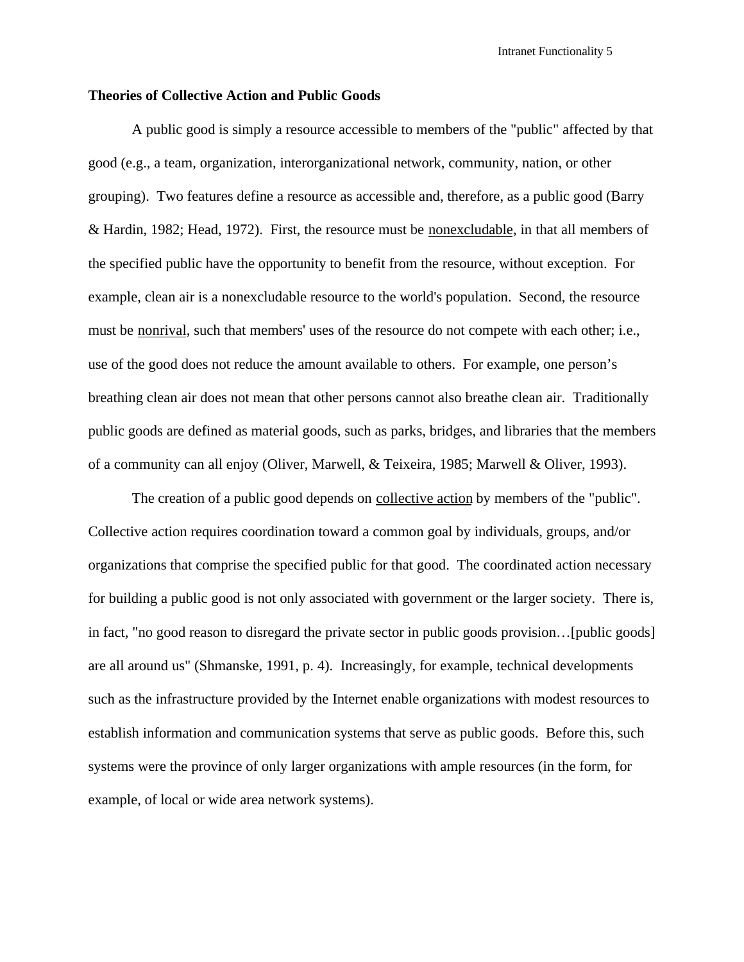### **Theories of Collective Action and Public Goods**

A public good is simply a resource accessible to members of the "public" affected by that good (e.g., a team, organization, interorganizational network, community, nation, or other grouping). Two features define a resource as accessible and, therefore, as a public good (Barry & Hardin, 1982; Head, 1972). First, the resource must be nonexcludable, in that all members of the specified public have the opportunity to benefit from the resource, without exception. For example, clean air is a nonexcludable resource to the world's population. Second, the resource must be nonrival, such that members' uses of the resource do not compete with each other; i.e., use of the good does not reduce the amount available to others. For example, one person's breathing clean air does not mean that other persons cannot also breathe clean air. Traditionally public goods are defined as material goods, such as parks, bridges, and libraries that the members of a community can all enjoy (Oliver, Marwell, & Teixeira, 1985; Marwell & Oliver, 1993).

The creation of a public good depends on <u>collective action</u> by members of the "public". Collective action requires coordination toward a common goal by individuals, groups, and/or organizations that comprise the specified public for that good. The coordinated action necessary for building a public good is not only associated with government or the larger society. There is, in fact, "no good reason to disregard the private sector in public goods provision…[public goods] are all around us" (Shmanske, 1991, p. 4). Increasingly, for example, technical developments such as the infrastructure provided by the Internet enable organizations with modest resources to establish information and communication systems that serve as public goods. Before this, such systems were the province of only larger organizations with ample resources (in the form, for example, of local or wide area network systems).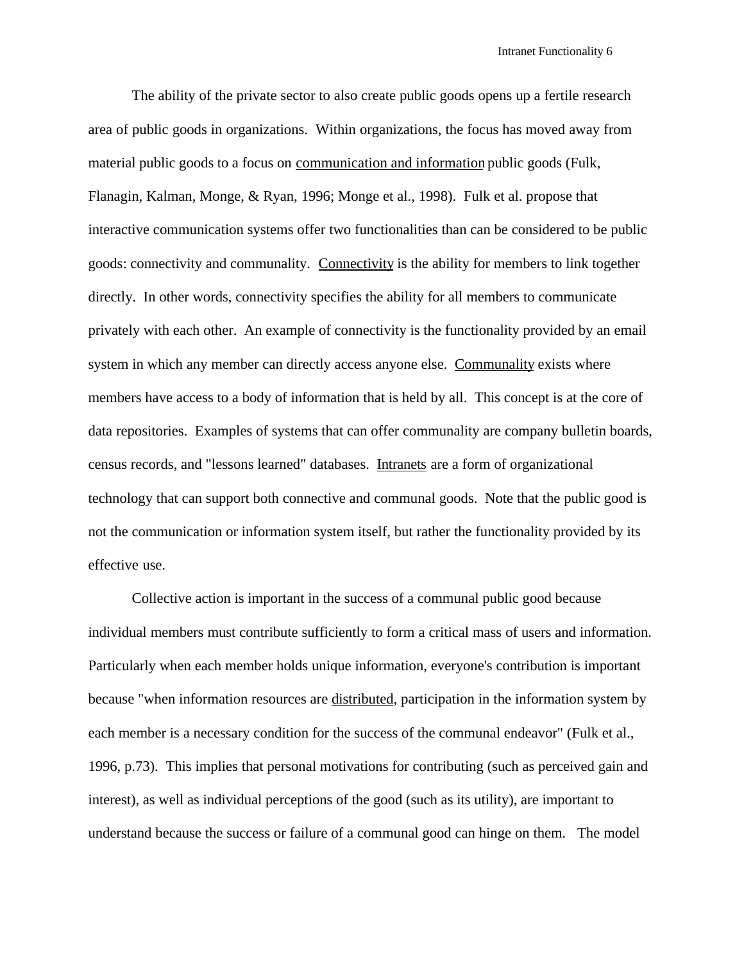The ability of the private sector to also create public goods opens up a fertile research area of public goods in organizations. Within organizations, the focus has moved away from material public goods to a focus on communication and information public goods (Fulk, Flanagin, Kalman, Monge, & Ryan, 1996; Monge et al., 1998). Fulk et al. propose that interactive communication systems offer two functionalities than can be considered to be public goods: connectivity and communality. Connectivity is the ability for members to link together directly. In other words, connectivity specifies the ability for all members to communicate privately with each other. An example of connectivity is the functionality provided by an email system in which any member can directly access anyone else. Communality exists where members have access to a body of information that is held by all. This concept is at the core of data repositories. Examples of systems that can offer communality are company bulletin boards, census records, and "lessons learned" databases. Intranets are a form of organizational technology that can support both connective and communal goods. Note that the public good is not the communication or information system itself, but rather the functionality provided by its effective use.

Collective action is important in the success of a communal public good because individual members must contribute sufficiently to form a critical mass of users and information. Particularly when each member holds unique information, everyone's contribution is important because "when information resources are distributed, participation in the information system by each member is a necessary condition for the success of the communal endeavor" (Fulk et al., 1996, p.73). This implies that personal motivations for contributing (such as perceived gain and interest), as well as individual perceptions of the good (such as its utility), are important to understand because the success or failure of a communal good can hinge on them. The model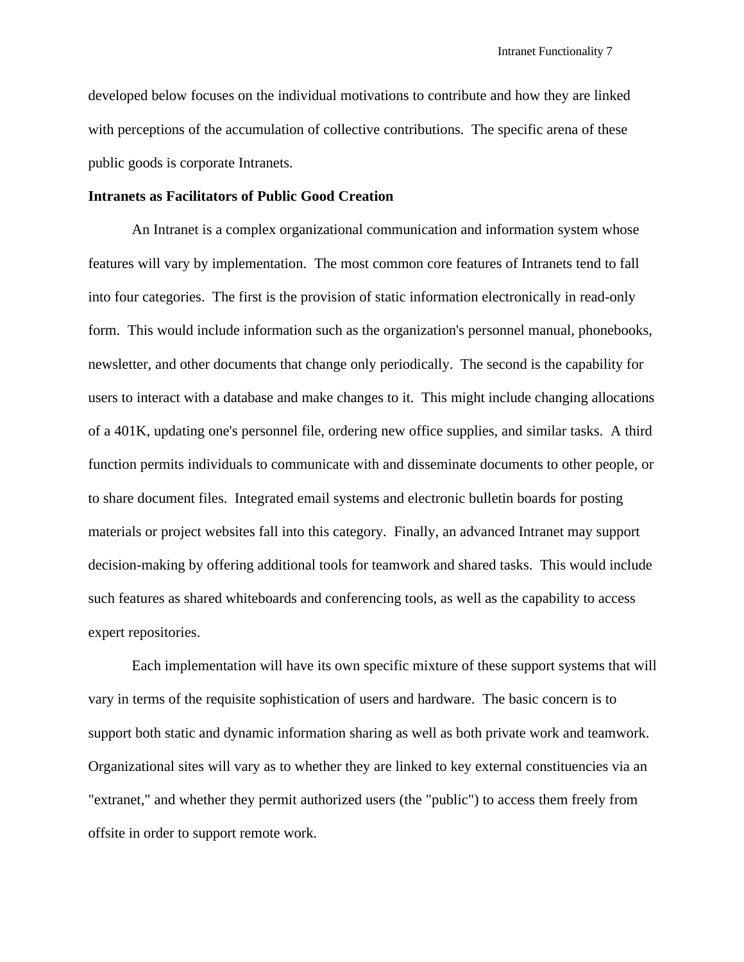developed below focuses on the individual motivations to contribute and how they are linked with perceptions of the accumulation of collective contributions. The specific arena of these public goods is corporate Intranets.

### **Intranets as Facilitators of Public Good Creation**

An Intranet is a complex organizational communication and information system whose features will vary by implementation. The most common core features of Intranets tend to fall into four categories. The first is the provision of static information electronically in read-only form. This would include information such as the organization's personnel manual, phonebooks, newsletter, and other documents that change only periodically. The second is the capability for users to interact with a database and make changes to it. This might include changing allocations of a 401K, updating one's personnel file, ordering new office supplies, and similar tasks. A third function permits individuals to communicate with and disseminate documents to other people, or to share document files. Integrated email systems and electronic bulletin boards for posting materials or project websites fall into this category. Finally, an advanced Intranet may support decision-making by offering additional tools for teamwork and shared tasks. This would include such features as shared whiteboards and conferencing tools, as well as the capability to access expert repositories.

Each implementation will have its own specific mixture of these support systems that will vary in terms of the requisite sophistication of users and hardware. The basic concern is to support both static and dynamic information sharing as well as both private work and teamwork. Organizational sites will vary as to whether they are linked to key external constituencies via an "extranet," and whether they permit authorized users (the "public") to access them freely from offsite in order to support remote work.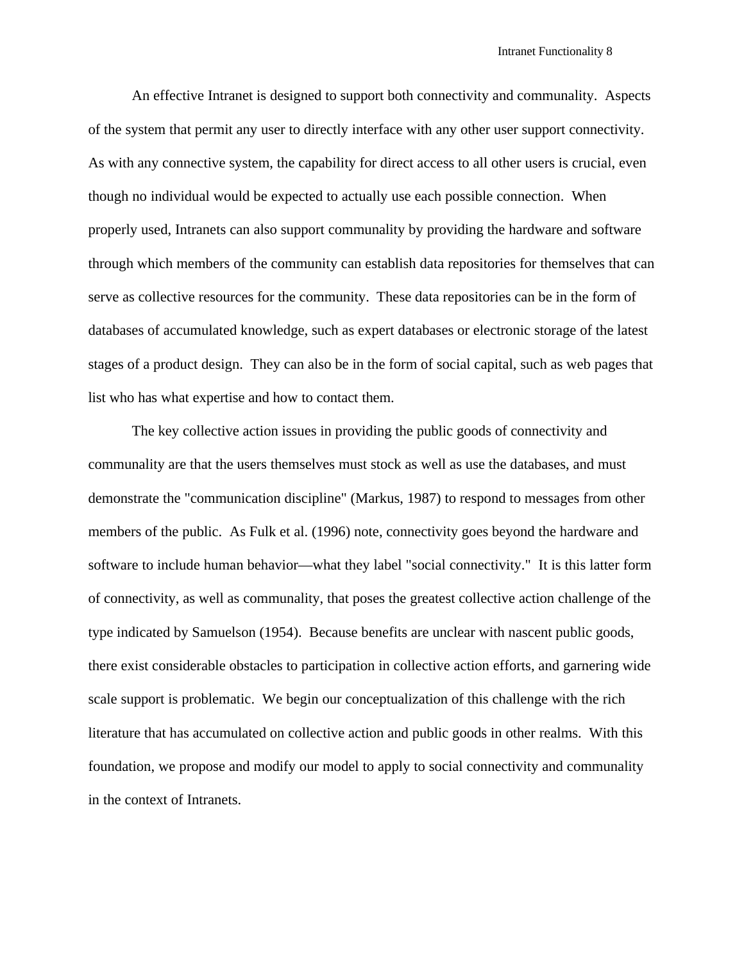An effective Intranet is designed to support both connectivity and communality. Aspects of the system that permit any user to directly interface with any other user support connectivity. As with any connective system, the capability for direct access to all other users is crucial, even though no individual would be expected to actually use each possible connection. When properly used, Intranets can also support communality by providing the hardware and software through which members of the community can establish data repositories for themselves that can serve as collective resources for the community. These data repositories can be in the form of databases of accumulated knowledge, such as expert databases or electronic storage of the latest stages of a product design. They can also be in the form of social capital, such as web pages that list who has what expertise and how to contact them.

The key collective action issues in providing the public goods of connectivity and communality are that the users themselves must stock as well as use the databases, and must demonstrate the "communication discipline" (Markus, 1987) to respond to messages from other members of the public. As Fulk et al. (1996) note, connectivity goes beyond the hardware and software to include human behavior—what they label "social connectivity." It is this latter form of connectivity, as well as communality, that poses the greatest collective action challenge of the type indicated by Samuelson (1954). Because benefits are unclear with nascent public goods, there exist considerable obstacles to participation in collective action efforts, and garnering wide scale support is problematic. We begin our conceptualization of this challenge with the rich literature that has accumulated on collective action and public goods in other realms. With this foundation, we propose and modify our model to apply to social connectivity and communality in the context of Intranets.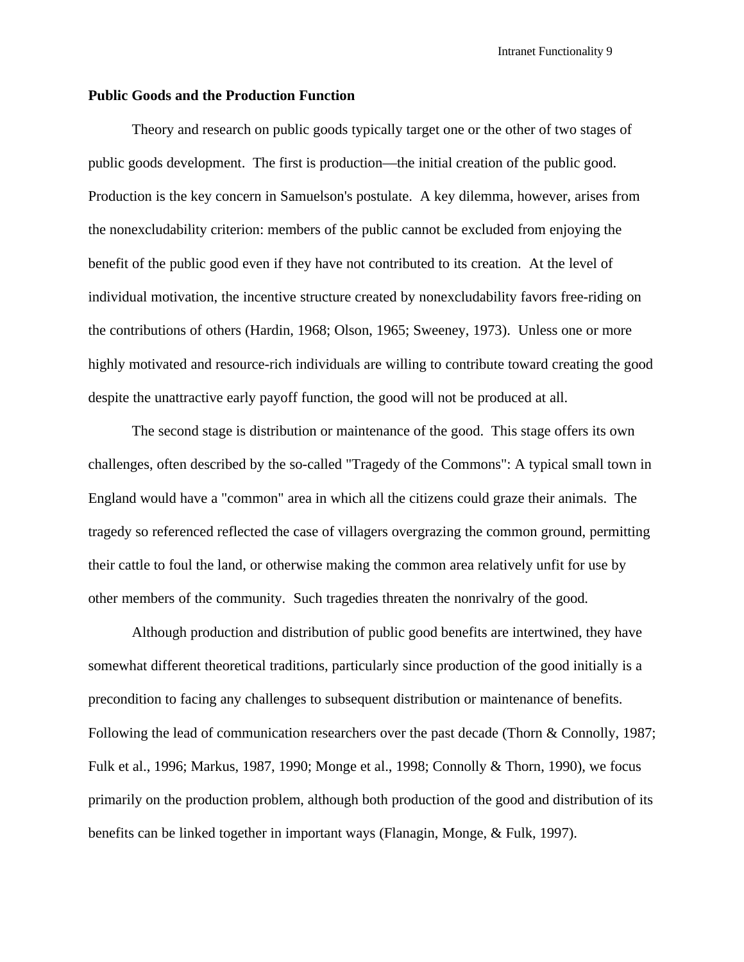### **Public Goods and the Production Function**

Theory and research on public goods typically target one or the other of two stages of public goods development. The first is production—the initial creation of the public good. Production is the key concern in Samuelson's postulate. A key dilemma, however, arises from the nonexcludability criterion: members of the public cannot be excluded from enjoying the benefit of the public good even if they have not contributed to its creation. At the level of individual motivation, the incentive structure created by nonexcludability favors free-riding on the contributions of others (Hardin, 1968; Olson, 1965; Sweeney, 1973). Unless one or more highly motivated and resource-rich individuals are willing to contribute toward creating the good despite the unattractive early payoff function, the good will not be produced at all.

The second stage is distribution or maintenance of the good. This stage offers its own challenges, often described by the so-called "Tragedy of the Commons": A typical small town in England would have a "common" area in which all the citizens could graze their animals. The tragedy so referenced reflected the case of villagers overgrazing the common ground, permitting their cattle to foul the land, or otherwise making the common area relatively unfit for use by other members of the community. Such tragedies threaten the nonrivalry of the good.

Although production and distribution of public good benefits are intertwined, they have somewhat different theoretical traditions, particularly since production of the good initially is a precondition to facing any challenges to subsequent distribution or maintenance of benefits. Following the lead of communication researchers over the past decade (Thorn & Connolly, 1987; Fulk et al., 1996; Markus, 1987, 1990; Monge et al., 1998; Connolly & Thorn, 1990), we focus primarily on the production problem, although both production of the good and distribution of its benefits can be linked together in important ways (Flanagin, Monge, & Fulk, 1997).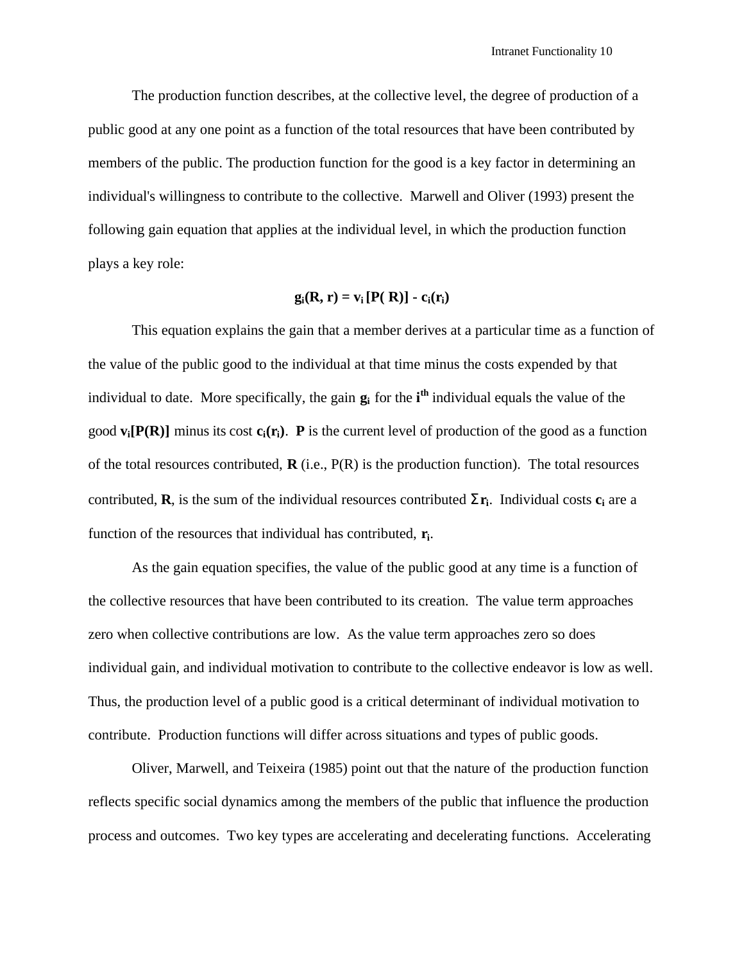The production function describes, at the collective level, the degree of production of a public good at any one point as a function of the total resources that have been contributed by members of the public. The production function for the good is a key factor in determining an individual's willingness to contribute to the collective. Marwell and Oliver (1993) present the following gain equation that applies at the individual level, in which the production function plays a key role:

## $g_i(R, r) = v_i [P(R)] - c_i(r_i)$

This equation explains the gain that a member derives at a particular time as a function of the value of the public good to the individual at that time minus the costs expended by that individual to date. More specifically, the gain **g<sup>i</sup>** for the **i th** individual equals the value of the good  $\bf{v}_i[\bf{P}(R)]$  minus its cost  $\bf{c}_i(\bf{r}_i)$ . **P** is the current level of production of the good as a function of the total resources contributed, **R** (i.e., P(R) is the production function). The total resources contributed, **R**, is the sum of the individual resources contributed **Sr<sup>i</sup>** . Individual costs **c<sup>i</sup>** are a function of the resources that individual has contributed, **r<sup>i</sup>** .

As the gain equation specifies, the value of the public good at any time is a function of the collective resources that have been contributed to its creation. The value term approaches zero when collective contributions are low. As the value term approaches zero so does individual gain, and individual motivation to contribute to the collective endeavor is low as well. Thus, the production level of a public good is a critical determinant of individual motivation to contribute. Production functions will differ across situations and types of public goods.

Oliver, Marwell, and Teixeira (1985) point out that the nature of the production function reflects specific social dynamics among the members of the public that influence the production process and outcomes. Two key types are accelerating and decelerating functions. Accelerating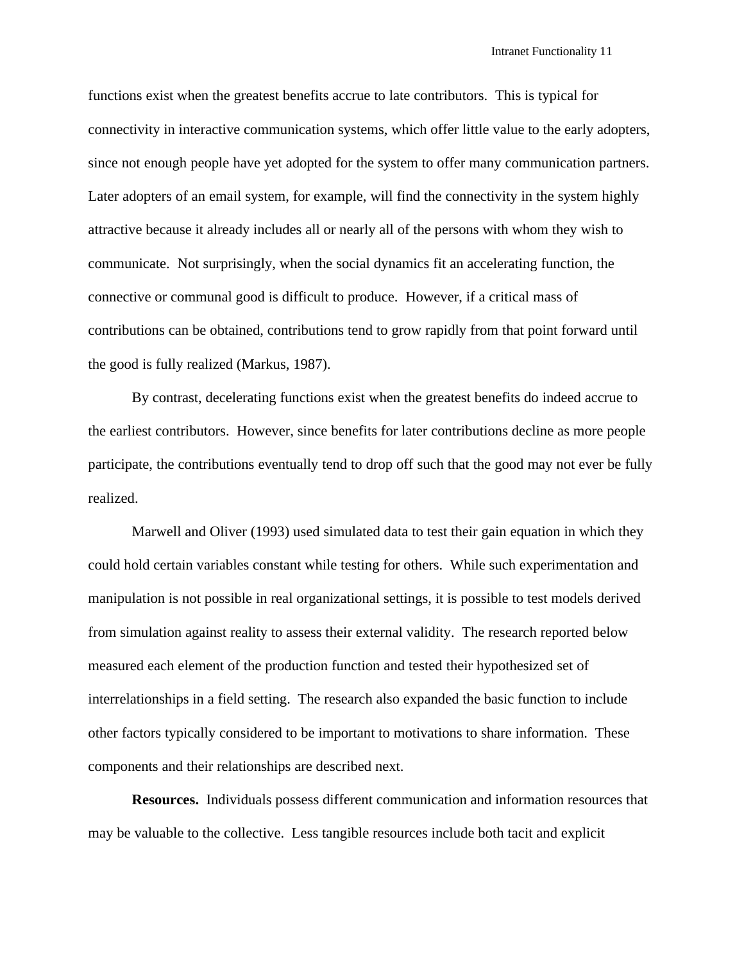functions exist when the greatest benefits accrue to late contributors. This is typical for connectivity in interactive communication systems, which offer little value to the early adopters, since not enough people have yet adopted for the system to offer many communication partners. Later adopters of an email system, for example, will find the connectivity in the system highly attractive because it already includes all or nearly all of the persons with whom they wish to communicate. Not surprisingly, when the social dynamics fit an accelerating function, the connective or communal good is difficult to produce. However, if a critical mass of contributions can be obtained, contributions tend to grow rapidly from that point forward until the good is fully realized (Markus, 1987).

By contrast, decelerating functions exist when the greatest benefits do indeed accrue to the earliest contributors. However, since benefits for later contributions decline as more people participate, the contributions eventually tend to drop off such that the good may not ever be fully realized.

Marwell and Oliver (1993) used simulated data to test their gain equation in which they could hold certain variables constant while testing for others. While such experimentation and manipulation is not possible in real organizational settings, it is possible to test models derived from simulation against reality to assess their external validity. The research reported below measured each element of the production function and tested their hypothesized set of interrelationships in a field setting. The research also expanded the basic function to include other factors typically considered to be important to motivations to share information. These components and their relationships are described next.

**Resources.** Individuals possess different communication and information resources that may be valuable to the collective. Less tangible resources include both tacit and explicit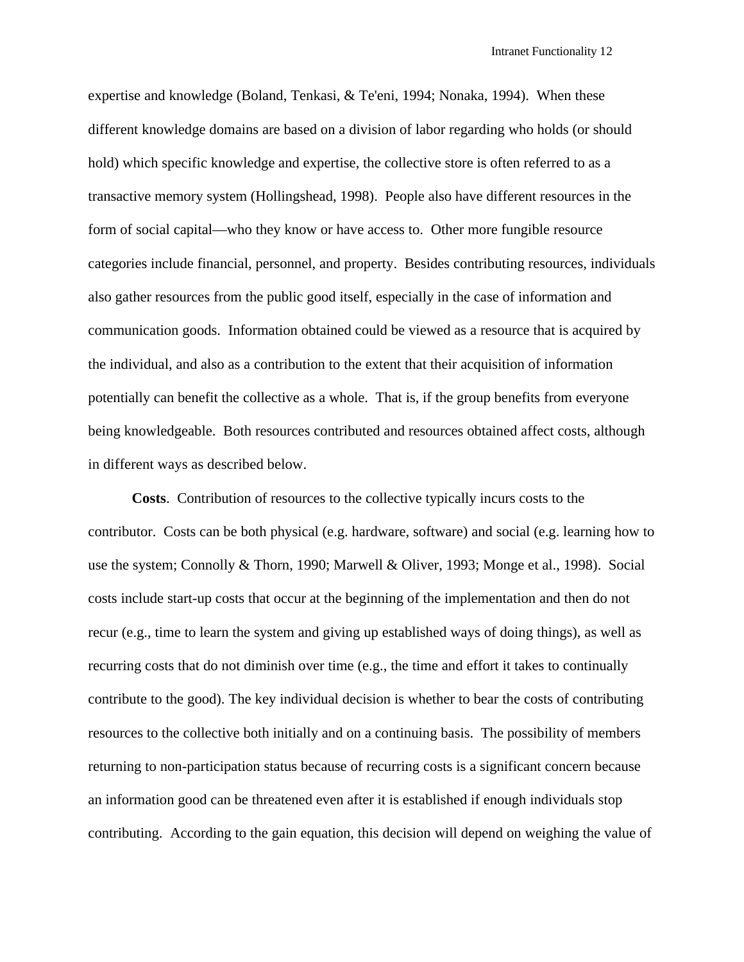expertise and knowledge (Boland, Tenkasi, & Te'eni, 1994; Nonaka, 1994). When these different knowledge domains are based on a division of labor regarding who holds (or should hold) which specific knowledge and expertise, the collective store is often referred to as a transactive memory system (Hollingshead, 1998). People also have different resources in the form of social capital—who they know or have access to. Other more fungible resource categories include financial, personnel, and property. Besides contributing resources, individuals also gather resources from the public good itself, especially in the case of information and communication goods. Information obtained could be viewed as a resource that is acquired by the individual, and also as a contribution to the extent that their acquisition of information potentially can benefit the collective as a whole. That is, if the group benefits from everyone being knowledgeable. Both resources contributed and resources obtained affect costs, although in different ways as described below.

**Costs**. Contribution of resources to the collective typically incurs costs to the contributor. Costs can be both physical (e.g. hardware, software) and social (e.g. learning how to use the system; Connolly & Thorn, 1990; Marwell & Oliver, 1993; Monge et al., 1998). Social costs include start-up costs that occur at the beginning of the implementation and then do not recur (e.g., time to learn the system and giving up established ways of doing things), as well as recurring costs that do not diminish over time (e.g., the time and effort it takes to continually contribute to the good). The key individual decision is whether to bear the costs of contributing resources to the collective both initially and on a continuing basis. The possibility of members returning to non-participation status because of recurring costs is a significant concern because an information good can be threatened even after it is established if enough individuals stop contributing. According to the gain equation, this decision will depend on weighing the value of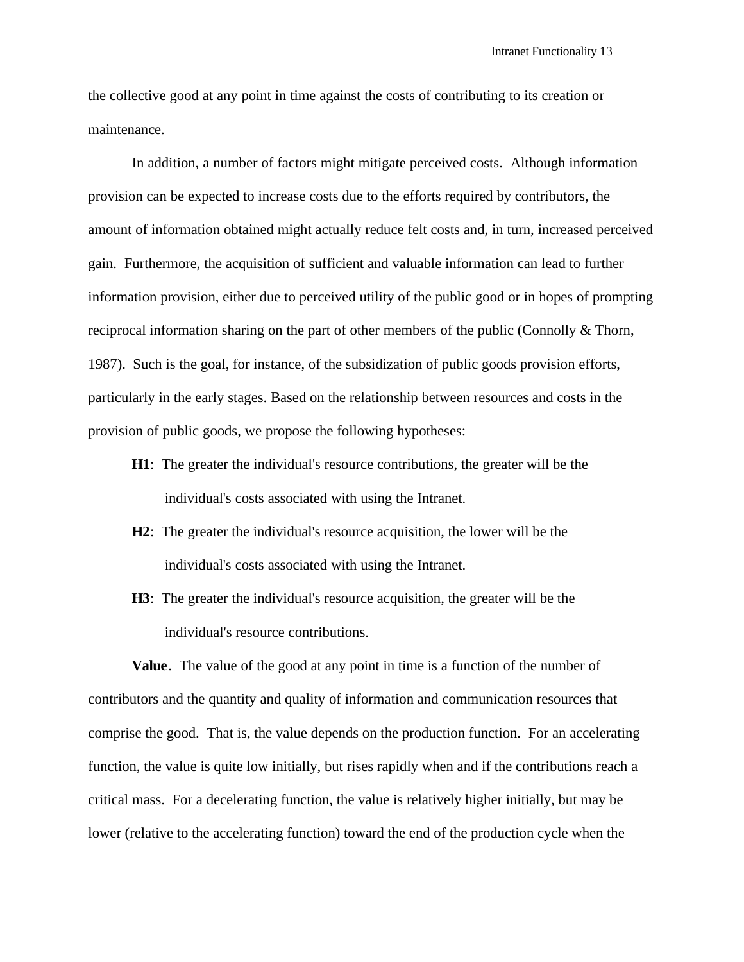the collective good at any point in time against the costs of contributing to its creation or maintenance.

In addition, a number of factors might mitigate perceived costs. Although information provision can be expected to increase costs due to the efforts required by contributors, the amount of information obtained might actually reduce felt costs and, in turn, increased perceived gain. Furthermore, the acquisition of sufficient and valuable information can lead to further information provision, either due to perceived utility of the public good or in hopes of prompting reciprocal information sharing on the part of other members of the public (Connolly & Thorn, 1987). Such is the goal, for instance, of the subsidization of public goods provision efforts, particularly in the early stages. Based on the relationship between resources and costs in the provision of public goods, we propose the following hypotheses:

- **H1**: The greater the individual's resource contributions, the greater will be the individual's costs associated with using the Intranet.
- **H2**: The greater the individual's resource acquisition, the lower will be the individual's costs associated with using the Intranet.
- **H3**: The greater the individual's resource acquisition, the greater will be the individual's resource contributions.

**Value**. The value of the good at any point in time is a function of the number of contributors and the quantity and quality of information and communication resources that comprise the good. That is, the value depends on the production function. For an accelerating function, the value is quite low initially, but rises rapidly when and if the contributions reach a critical mass. For a decelerating function, the value is relatively higher initially, but may be lower (relative to the accelerating function) toward the end of the production cycle when the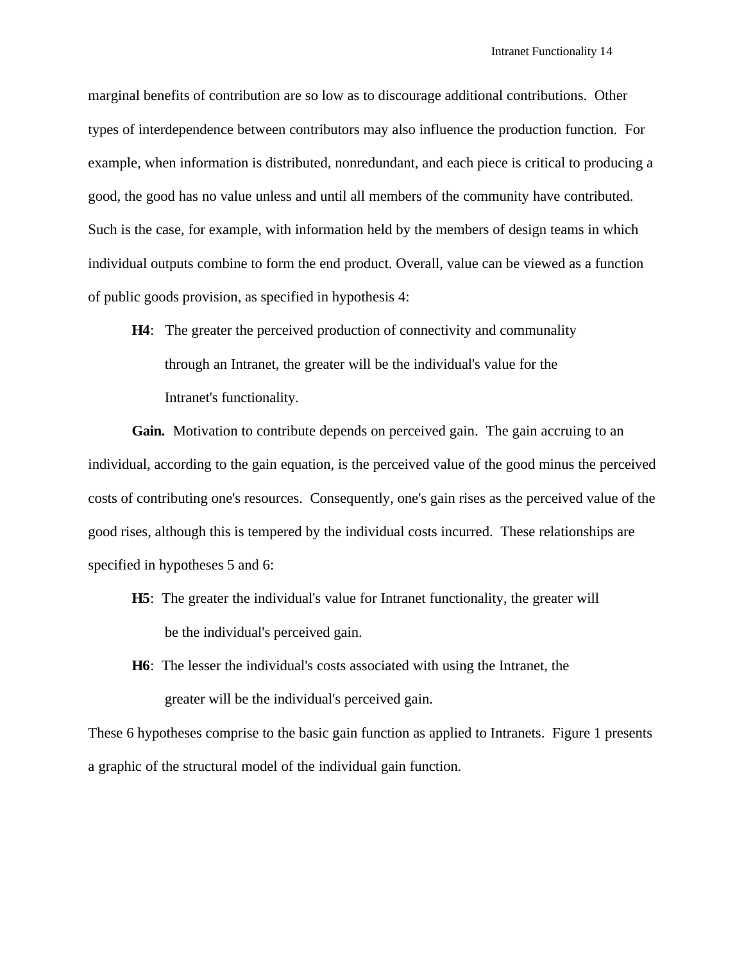marginal benefits of contribution are so low as to discourage additional contributions. Other types of interdependence between contributors may also influence the production function. For example, when information is distributed, nonredundant, and each piece is critical to producing a good, the good has no value unless and until all members of the community have contributed. Such is the case, for example, with information held by the members of design teams in which individual outputs combine to form the end product. Overall, value can be viewed as a function of public goods provision, as specified in hypothesis 4:

**H4**: The greater the perceived production of connectivity and communality through an Intranet, the greater will be the individual's value for the Intranet's functionality.

Gain. Motivation to contribute depends on perceived gain. The gain accruing to an individual, according to the gain equation, is the perceived value of the good minus the perceived costs of contributing one's resources. Consequently, one's gain rises as the perceived value of the good rises, although this is tempered by the individual costs incurred. These relationships are specified in hypotheses 5 and 6:

- **H5**: The greater the individual's value for Intranet functionality, the greater will be the individual's perceived gain.
- **H6**: The lesser the individual's costs associated with using the Intranet, the greater will be the individual's perceived gain.

These 6 hypotheses comprise to the basic gain function as applied to Intranets. Figure 1 presents a graphic of the structural model of the individual gain function.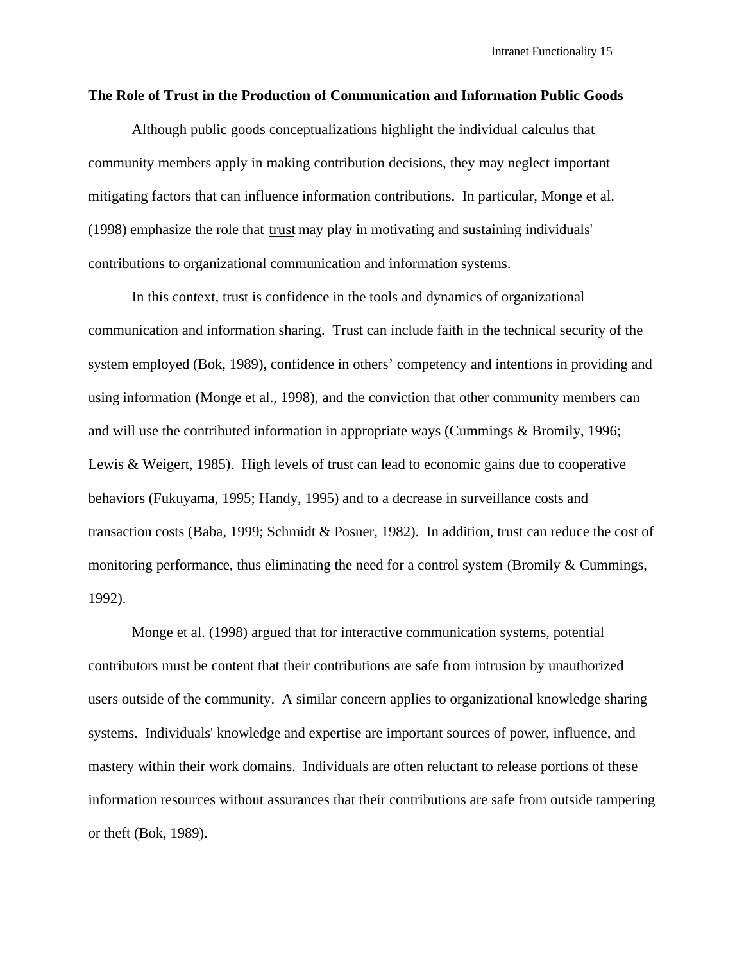#### **The Role of Trust in the Production of Communication and Information Public Goods**

Although public goods conceptualizations highlight the individual calculus that community members apply in making contribution decisions, they may neglect important mitigating factors that can influence information contributions. In particular, Monge et al. (1998) emphasize the role that trust may play in motivating and sustaining individuals' contributions to organizational communication and information systems.

In this context, trust is confidence in the tools and dynamics of organizational communication and information sharing. Trust can include faith in the technical security of the system employed (Bok, 1989), confidence in others' competency and intentions in providing and using information (Monge et al., 1998), and the conviction that other community members can and will use the contributed information in appropriate ways (Cummings & Bromily, 1996; Lewis & Weigert, 1985). High levels of trust can lead to economic gains due to cooperative behaviors (Fukuyama, 1995; Handy, 1995) and to a decrease in surveillance costs and transaction costs (Baba, 1999; Schmidt & Posner, 1982). In addition, trust can reduce the cost of monitoring performance, thus eliminating the need for a control system (Bromily & Cummings, 1992).

Monge et al. (1998) argued that for interactive communication systems, potential contributors must be content that their contributions are safe from intrusion by unauthorized users outside of the community. A similar concern applies to organizational knowledge sharing systems. Individuals' knowledge and expertise are important sources of power, influence, and mastery within their work domains. Individuals are often reluctant to release portions of these information resources without assurances that their contributions are safe from outside tampering or theft (Bok, 1989).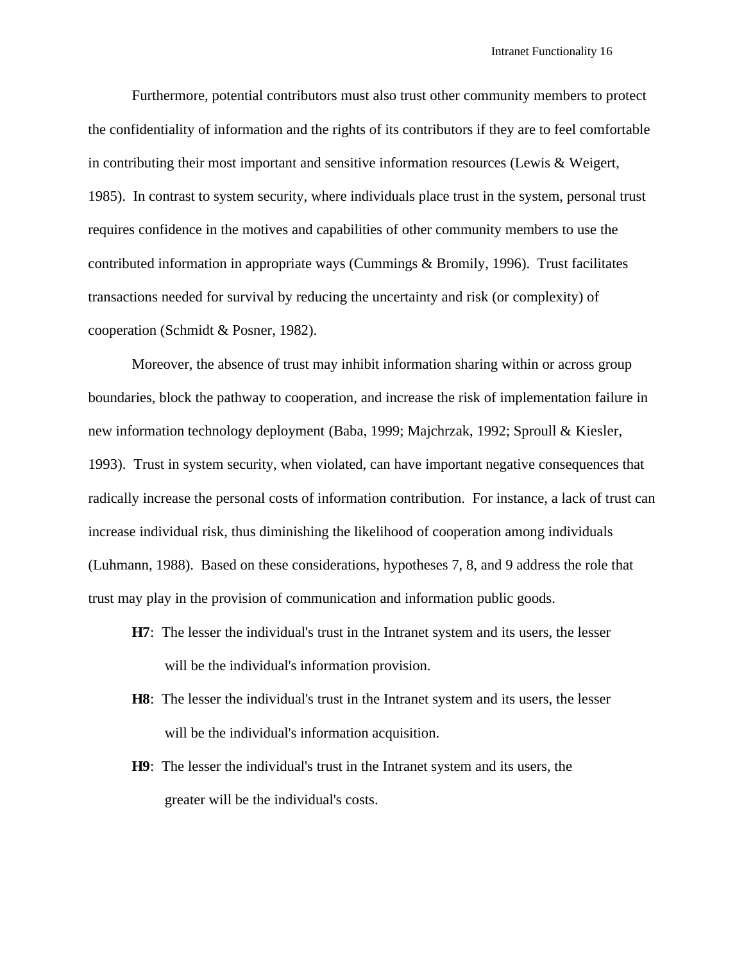Furthermore, potential contributors must also trust other community members to protect the confidentiality of information and the rights of its contributors if they are to feel comfortable in contributing their most important and sensitive information resources (Lewis & Weigert, 1985). In contrast to system security, where individuals place trust in the system, personal trust requires confidence in the motives and capabilities of other community members to use the contributed information in appropriate ways (Cummings & Bromily, 1996). Trust facilitates transactions needed for survival by reducing the uncertainty and risk (or complexity) of cooperation (Schmidt & Posner, 1982).

Moreover, the absence of trust may inhibit information sharing within or across group boundaries, block the pathway to cooperation, and increase the risk of implementation failure in new information technology deployment (Baba, 1999; Majchrzak, 1992; Sproull & Kiesler, 1993). Trust in system security, when violated, can have important negative consequences that radically increase the personal costs of information contribution. For instance, a lack of trust can increase individual risk, thus diminishing the likelihood of cooperation among individuals (Luhmann, 1988). Based on these considerations, hypotheses 7, 8, and 9 address the role that trust may play in the provision of communication and information public goods.

- **H7**: The lesser the individual's trust in the Intranet system and its users, the lesser will be the individual's information provision.
- **H8**: The lesser the individual's trust in the Intranet system and its users, the lesser will be the individual's information acquisition.
- **H9**: The lesser the individual's trust in the Intranet system and its users, the greater will be the individual's costs.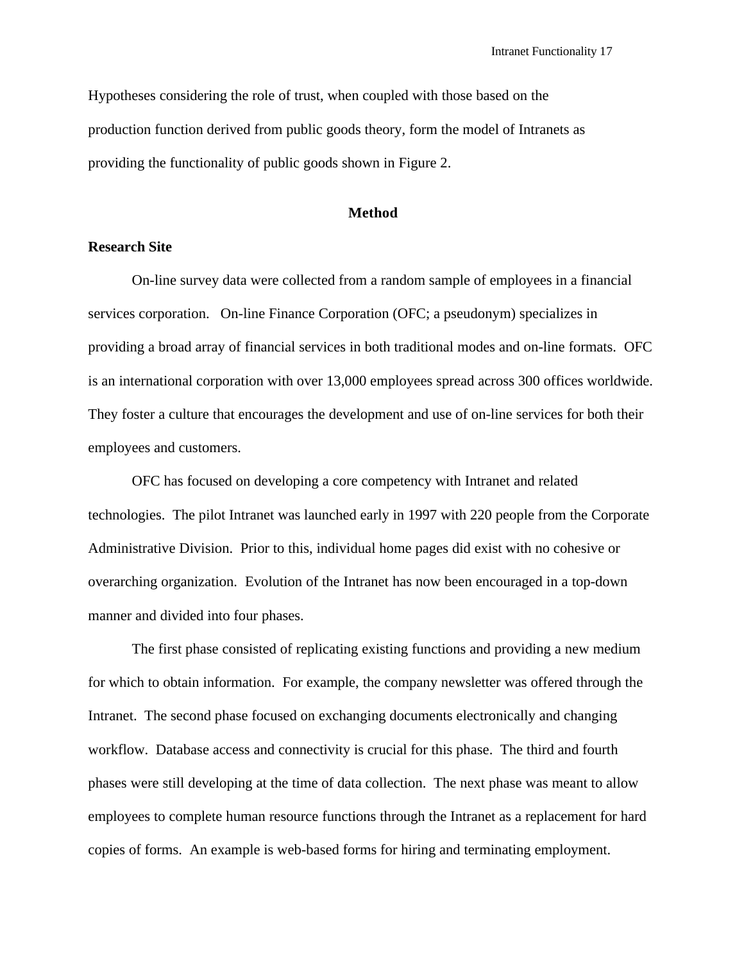Hypotheses considering the role of trust, when coupled with those based on the production function derived from public goods theory, form the model of Intranets as providing the functionality of public goods shown in Figure 2.

### **Method**

### **Research Site**

On-line survey data were collected from a random sample of employees in a financial services corporation. On-line Finance Corporation (OFC; a pseudonym) specializes in providing a broad array of financial services in both traditional modes and on-line formats. OFC is an international corporation with over 13,000 employees spread across 300 offices worldwide. They foster a culture that encourages the development and use of on-line services for both their employees and customers.

OFC has focused on developing a core competency with Intranet and related technologies. The pilot Intranet was launched early in 1997 with 220 people from the Corporate Administrative Division. Prior to this, individual home pages did exist with no cohesive or overarching organization. Evolution of the Intranet has now been encouraged in a top-down manner and divided into four phases.

The first phase consisted of replicating existing functions and providing a new medium for which to obtain information. For example, the company newsletter was offered through the Intranet. The second phase focused on exchanging documents electronically and changing workflow. Database access and connectivity is crucial for this phase. The third and fourth phases were still developing at the time of data collection. The next phase was meant to allow employees to complete human resource functions through the Intranet as a replacement for hard copies of forms. An example is web-based forms for hiring and terminating employment.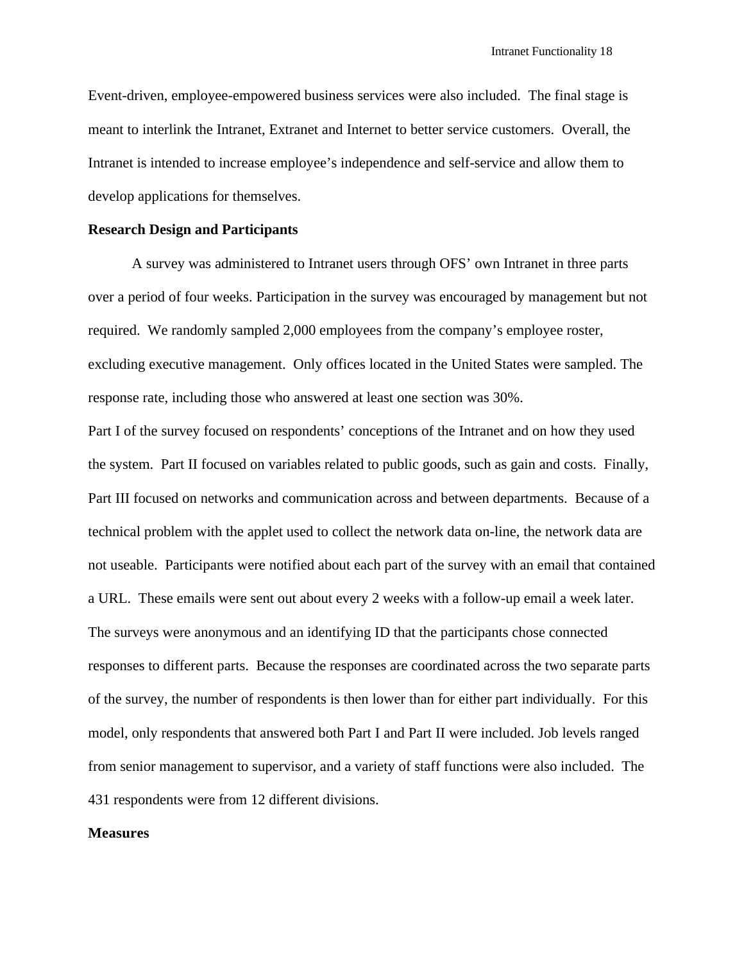Event-driven, employee-empowered business services were also included. The final stage is meant to interlink the Intranet, Extranet and Internet to better service customers. Overall, the Intranet is intended to increase employee's independence and self-service and allow them to develop applications for themselves.

### **Research Design and Participants**

A survey was administered to Intranet users through OFS' own Intranet in three parts over a period of four weeks. Participation in the survey was encouraged by management but not required. We randomly sampled 2,000 employees from the company's employee roster, excluding executive management. Only offices located in the United States were sampled. The response rate, including those who answered at least one section was 30%.

Part I of the survey focused on respondents' conceptions of the Intranet and on how they used the system. Part II focused on variables related to public goods, such as gain and costs. Finally, Part III focused on networks and communication across and between departments. Because of a technical problem with the applet used to collect the network data on-line, the network data are not useable. Participants were notified about each part of the survey with an email that contained a URL. These emails were sent out about every 2 weeks with a follow-up email a week later. The surveys were anonymous and an identifying ID that the participants chose connected responses to different parts. Because the responses are coordinated across the two separate parts of the survey, the number of respondents is then lower than for either part individually. For this model, only respondents that answered both Part I and Part II were included. Job levels ranged from senior management to supervisor, and a variety of staff functions were also included. The 431 respondents were from 12 different divisions.

#### **Measures**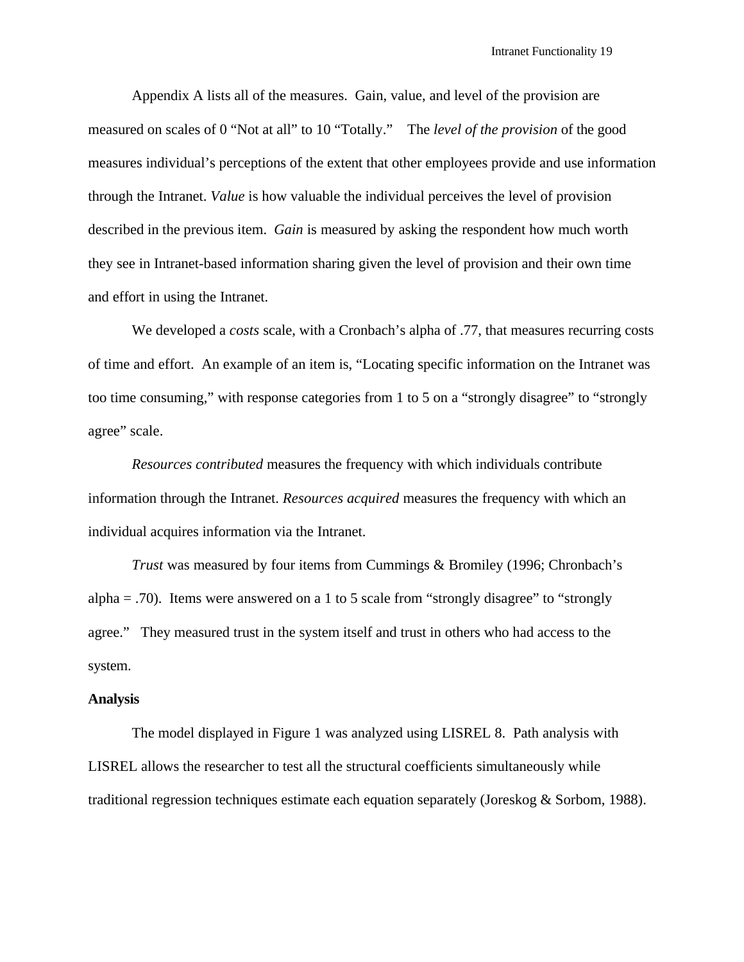Appendix A lists all of the measures. Gain, value, and level of the provision are measured on scales of 0 "Not at all" to 10 "Totally." The *level of the provision* of the good measures individual's perceptions of the extent that other employees provide and use information through the Intranet. *Value* is how valuable the individual perceives the level of provision described in the previous item. *Gain* is measured by asking the respondent how much worth they see in Intranet-based information sharing given the level of provision and their own time and effort in using the Intranet.

We developed a *costs* scale, with a Cronbach's alpha of .77, that measures recurring costs of time and effort. An example of an item is, "Locating specific information on the Intranet was too time consuming," with response categories from 1 to 5 on a "strongly disagree" to "strongly agree" scale.

*Resources contributed* measures the frequency with which individuals contribute information through the Intranet. *Resources acquired* measures the frequency with which an individual acquires information via the Intranet.

*Trust* was measured by four items from Cummings & Bromiley (1996; Chronbach's alpha  $=$  .70). Items were answered on a 1 to 5 scale from "strongly disagree" to "strongly agree." They measured trust in the system itself and trust in others who had access to the system.

#### **Analysis**

The model displayed in Figure 1 was analyzed using LISREL 8. Path analysis with LISREL allows the researcher to test all the structural coefficients simultaneously while traditional regression techniques estimate each equation separately (Joreskog & Sorbom, 1988).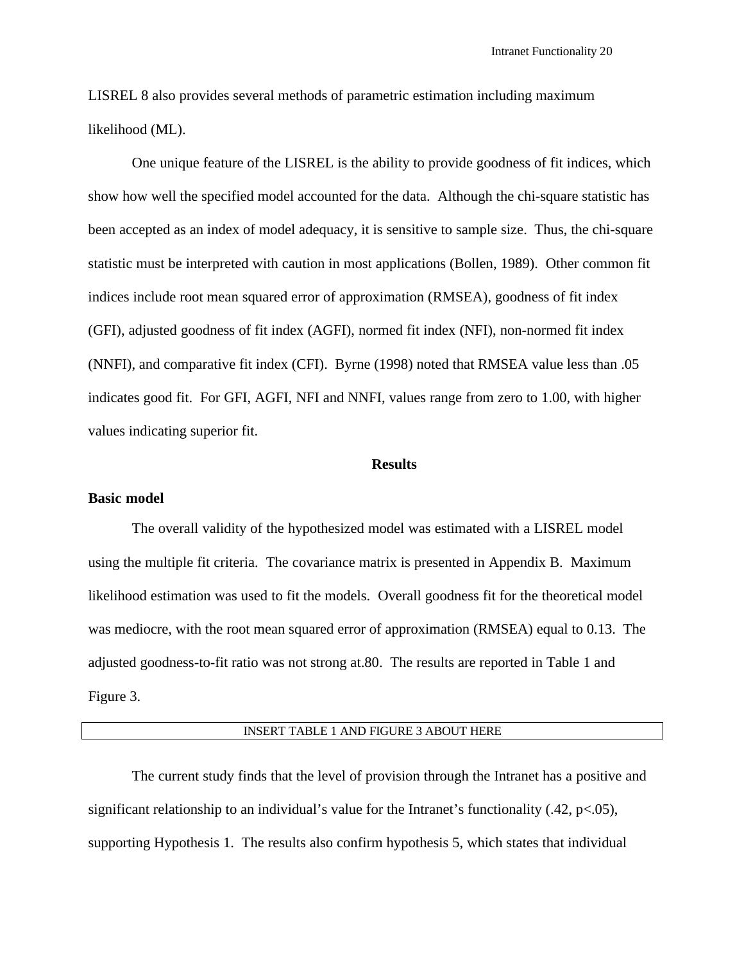LISREL 8 also provides several methods of parametric estimation including maximum likelihood (ML).

One unique feature of the LISREL is the ability to provide goodness of fit indices, which show how well the specified model accounted for the data. Although the chi-square statistic has been accepted as an index of model adequacy, it is sensitive to sample size. Thus, the chi-square statistic must be interpreted with caution in most applications (Bollen, 1989). Other common fit indices include root mean squared error of approximation (RMSEA), goodness of fit index (GFI), adjusted goodness of fit index (AGFI), normed fit index (NFI), non-normed fit index (NNFI), and comparative fit index (CFI). Byrne (1998) noted that RMSEA value less than .05 indicates good fit. For GFI, AGFI, NFI and NNFI, values range from zero to 1.00, with higher values indicating superior fit.

### **Results**

#### **Basic model**

The overall validity of the hypothesized model was estimated with a LISREL model using the multiple fit criteria. The covariance matrix is presented in Appendix B. Maximum likelihood estimation was used to fit the models. Overall goodness fit for the theoretical model was mediocre, with the root mean squared error of approximation (RMSEA) equal to 0.13. The adjusted goodness-to-fit ratio was not strong at.80. The results are reported in Table 1 and Figure 3.

### INSERT TABLE 1 AND FIGURE 3 ABOUT HERE

The current study finds that the level of provision through the Intranet has a positive and significant relationship to an individual's value for the Intranet's functionality (.42, p<.05), supporting Hypothesis 1. The results also confirm hypothesis 5, which states that individual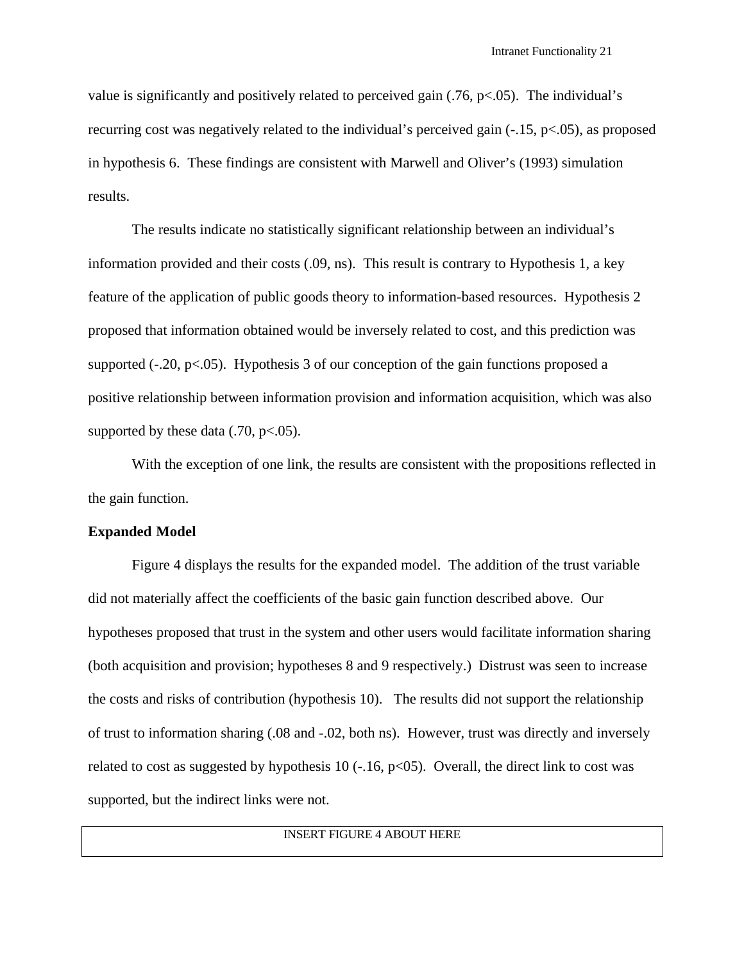value is significantly and positively related to perceived gain  $(0.76, p<0.05)$ . The individual's recurring cost was negatively related to the individual's perceived gain (-.15, p<.05), as proposed in hypothesis 6. These findings are consistent with Marwell and Oliver's (1993) simulation results.

The results indicate no statistically significant relationship between an individual's information provided and their costs (.09, ns). This result is contrary to Hypothesis 1, a key feature of the application of public goods theory to information-based resources. Hypothesis 2 proposed that information obtained would be inversely related to cost, and this prediction was supported  $(-20, p<0.05)$ . Hypothesis 3 of our conception of the gain functions proposed a positive relationship between information provision and information acquisition, which was also supported by these data  $(.70, \text{p} < .05)$ .

With the exception of one link, the results are consistent with the propositions reflected in the gain function.

### **Expanded Model**

Figure 4 displays the results for the expanded model. The addition of the trust variable did not materially affect the coefficients of the basic gain function described above. Our hypotheses proposed that trust in the system and other users would facilitate information sharing (both acquisition and provision; hypotheses 8 and 9 respectively.) Distrust was seen to increase the costs and risks of contribution (hypothesis 10). The results did not support the relationship of trust to information sharing (.08 and -.02, both ns). However, trust was directly and inversely related to cost as suggested by hypothesis 10 ( $-.16$ ,  $p<05$ ). Overall, the direct link to cost was supported, but the indirect links were not.

INSERT FIGURE 4 ABOUT HERE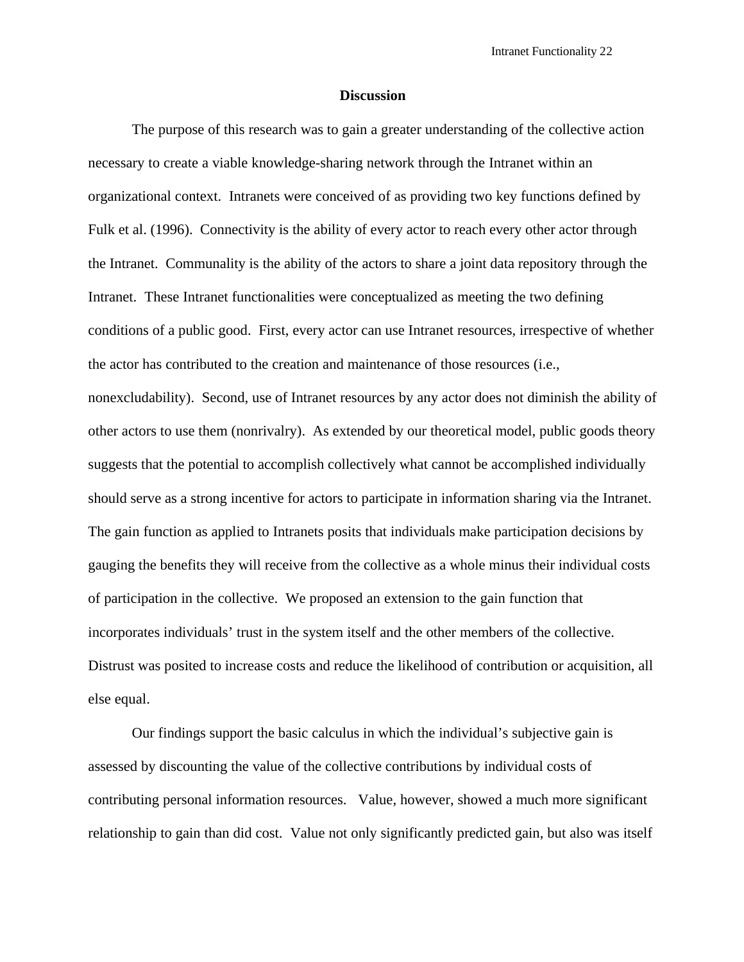### **Discussion**

The purpose of this research was to gain a greater understanding of the collective action necessary to create a viable knowledge-sharing network through the Intranet within an organizational context. Intranets were conceived of as providing two key functions defined by Fulk et al. (1996). Connectivity is the ability of every actor to reach every other actor through the Intranet. Communality is the ability of the actors to share a joint data repository through the Intranet. These Intranet functionalities were conceptualized as meeting the two defining conditions of a public good. First, every actor can use Intranet resources, irrespective of whether the actor has contributed to the creation and maintenance of those resources (i.e., nonexcludability). Second, use of Intranet resources by any actor does not diminish the ability of other actors to use them (nonrivalry). As extended by our theoretical model, public goods theory suggests that the potential to accomplish collectively what cannot be accomplished individually should serve as a strong incentive for actors to participate in information sharing via the Intranet. The gain function as applied to Intranets posits that individuals make participation decisions by gauging the benefits they will receive from the collective as a whole minus their individual costs of participation in the collective. We proposed an extension to the gain function that incorporates individuals' trust in the system itself and the other members of the collective. Distrust was posited to increase costs and reduce the likelihood of contribution or acquisition, all else equal.

Our findings support the basic calculus in which the individual's subjective gain is assessed by discounting the value of the collective contributions by individual costs of contributing personal information resources. Value, however, showed a much more significant relationship to gain than did cost. Value not only significantly predicted gain, but also was itself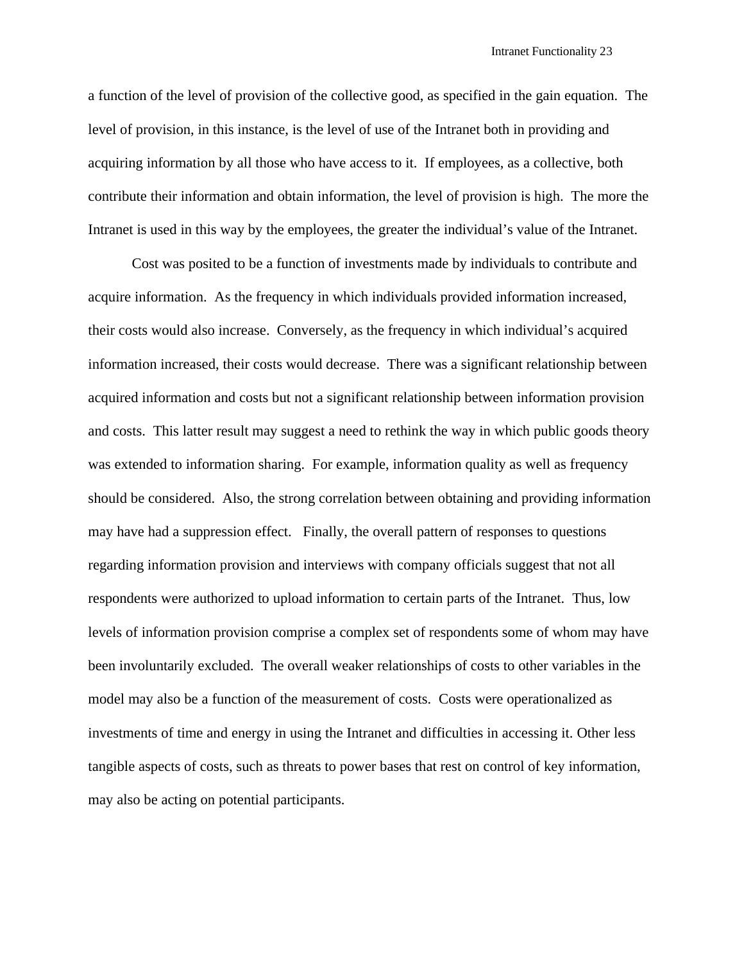a function of the level of provision of the collective good, as specified in the gain equation. The level of provision, in this instance, is the level of use of the Intranet both in providing and acquiring information by all those who have access to it. If employees, as a collective, both contribute their information and obtain information, the level of provision is high. The more the Intranet is used in this way by the employees, the greater the individual's value of the Intranet.

Cost was posited to be a function of investments made by individuals to contribute and acquire information. As the frequency in which individuals provided information increased, their costs would also increase. Conversely, as the frequency in which individual's acquired information increased, their costs would decrease. There was a significant relationship between acquired information and costs but not a significant relationship between information provision and costs. This latter result may suggest a need to rethink the way in which public goods theory was extended to information sharing. For example, information quality as well as frequency should be considered. Also, the strong correlation between obtaining and providing information may have had a suppression effect. Finally, the overall pattern of responses to questions regarding information provision and interviews with company officials suggest that not all respondents were authorized to upload information to certain parts of the Intranet. Thus, low levels of information provision comprise a complex set of respondents some of whom may have been involuntarily excluded. The overall weaker relationships of costs to other variables in the model may also be a function of the measurement of costs. Costs were operationalized as investments of time and energy in using the Intranet and difficulties in accessing it. Other less tangible aspects of costs, such as threats to power bases that rest on control of key information, may also be acting on potential participants.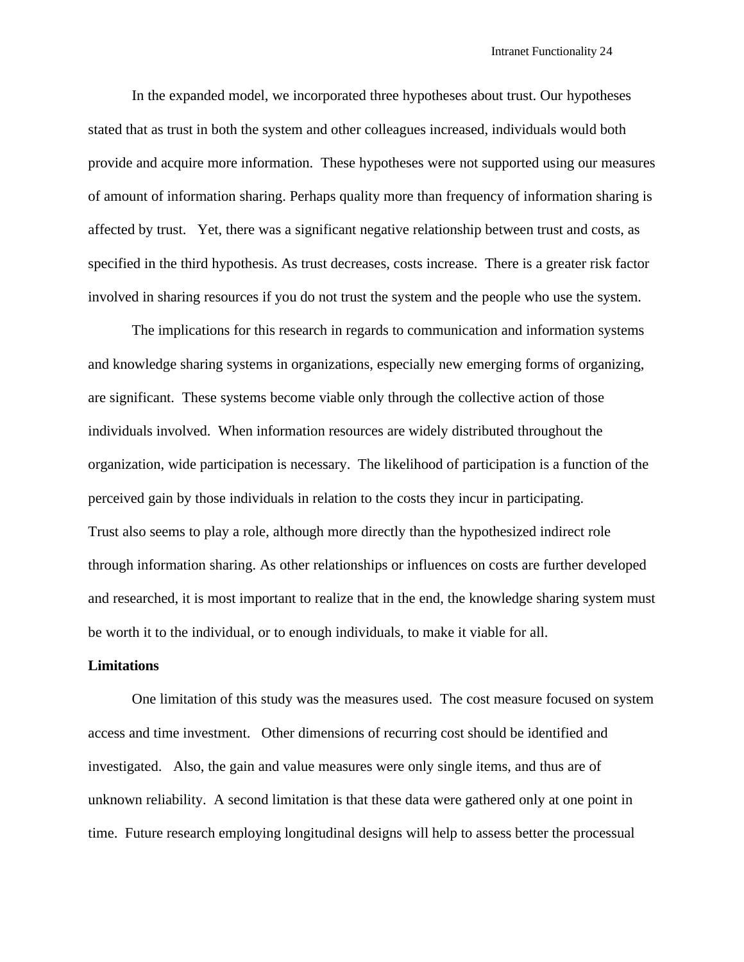In the expanded model, we incorporated three hypotheses about trust. Our hypotheses stated that as trust in both the system and other colleagues increased, individuals would both provide and acquire more information. These hypotheses were not supported using our measures of amount of information sharing. Perhaps quality more than frequency of information sharing is affected by trust. Yet, there was a significant negative relationship between trust and costs, as specified in the third hypothesis. As trust decreases, costs increase. There is a greater risk factor involved in sharing resources if you do not trust the system and the people who use the system.

The implications for this research in regards to communication and information systems and knowledge sharing systems in organizations, especially new emerging forms of organizing, are significant. These systems become viable only through the collective action of those individuals involved. When information resources are widely distributed throughout the organization, wide participation is necessary. The likelihood of participation is a function of the perceived gain by those individuals in relation to the costs they incur in participating. Trust also seems to play a role, although more directly than the hypothesized indirect role through information sharing. As other relationships or influences on costs are further developed and researched, it is most important to realize that in the end, the knowledge sharing system must be worth it to the individual, or to enough individuals, to make it viable for all.

### **Limitations**

One limitation of this study was the measures used. The cost measure focused on system access and time investment. Other dimensions of recurring cost should be identified and investigated. Also, the gain and value measures were only single items, and thus are of unknown reliability. A second limitation is that these data were gathered only at one point in time. Future research employing longitudinal designs will help to assess better the processual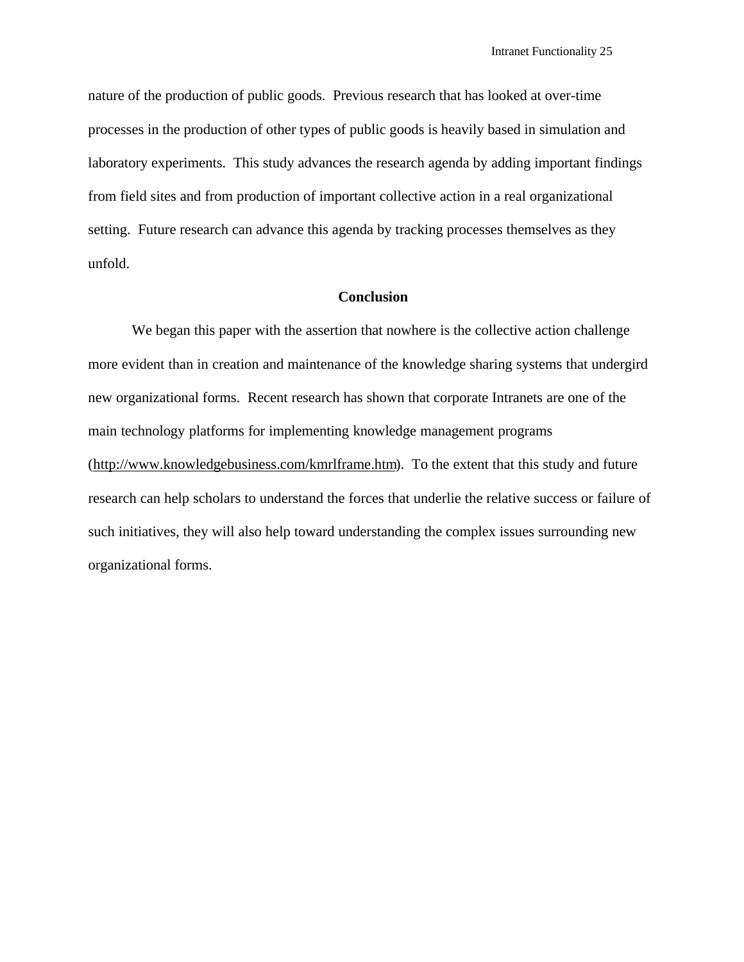nature of the production of public goods. Previous research that has looked at over-time processes in the production of other types of public goods is heavily based in simulation and laboratory experiments. This study advances the research agenda by adding important findings from field sites and from production of important collective action in a real organizational setting. Future research can advance this agenda by tracking processes themselves as they unfold.

### **Conclusion**

We began this paper with the assertion that nowhere is the collective action challenge more evident than in creation and maintenance of the knowledge sharing systems that undergird new organizational forms. Recent research has shown that corporate Intranets are one of the main technology platforms for implementing knowledge management programs (http://www.knowledgebusiness.com/kmrlframe.htm). To the extent that this study and future research can help scholars to understand the forces that underlie the relative success or failure of such initiatives, they will also help toward understanding the complex issues surrounding new organizational forms.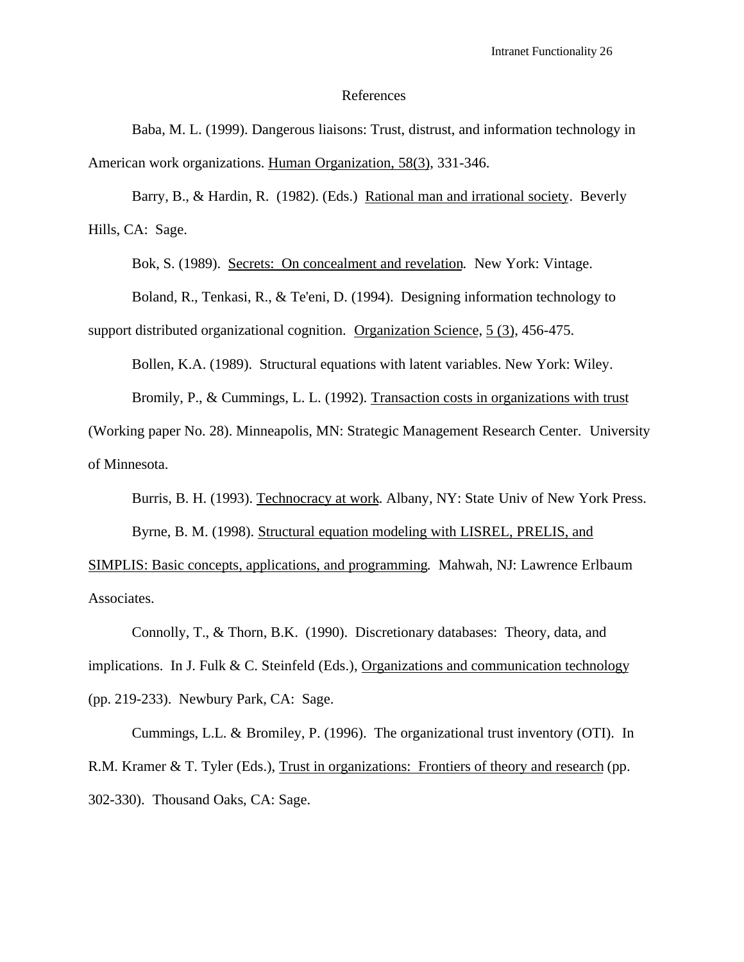#### References

Baba, M. L. (1999). Dangerous liaisons: Trust, distrust, and information technology in American work organizations. Human Organization, 58(3), 331-346.

Barry, B., & Hardin, R. (1982). (Eds.) Rational man and irrational society. Beverly Hills, CA: Sage.

Bok, S. (1989). Secrets: On concealment and revelation. New York: Vintage.

Boland, R., Tenkasi, R., & Te'eni, D. (1994). Designing information technology to support distributed organizational cognition. Organization Science, 5 (3), 456-475.

Bollen, K.A. (1989). Structural equations with latent variables. New York: Wiley.

Bromily, P., & Cummings, L. L. (1992). Transaction costs in organizations with trust

(Working paper No. 28). Minneapolis, MN: Strategic Management Research Center. University of Minnesota.

Burris, B. H. (1993). Technocracy at work. Albany, NY: State Univ of New York Press.

Byrne, B. M. (1998). Structural equation modeling with LISREL, PRELIS, and

SIMPLIS: Basic concepts, applications, and programming. Mahwah, NJ: Lawrence Erlbaum Associates.

Connolly, T., & Thorn, B.K. (1990). Discretionary databases: Theory, data, and implications. In J. Fulk & C. Steinfeld (Eds.), Organizations and communication technology (pp. 219-233). Newbury Park, CA: Sage.

Cummings, L.L. & Bromiley, P. (1996). The organizational trust inventory (OTI). In R.M. Kramer & T. Tyler (Eds.), Trust in organizations: Frontiers of theory and research (pp. 302-330). Thousand Oaks, CA: Sage.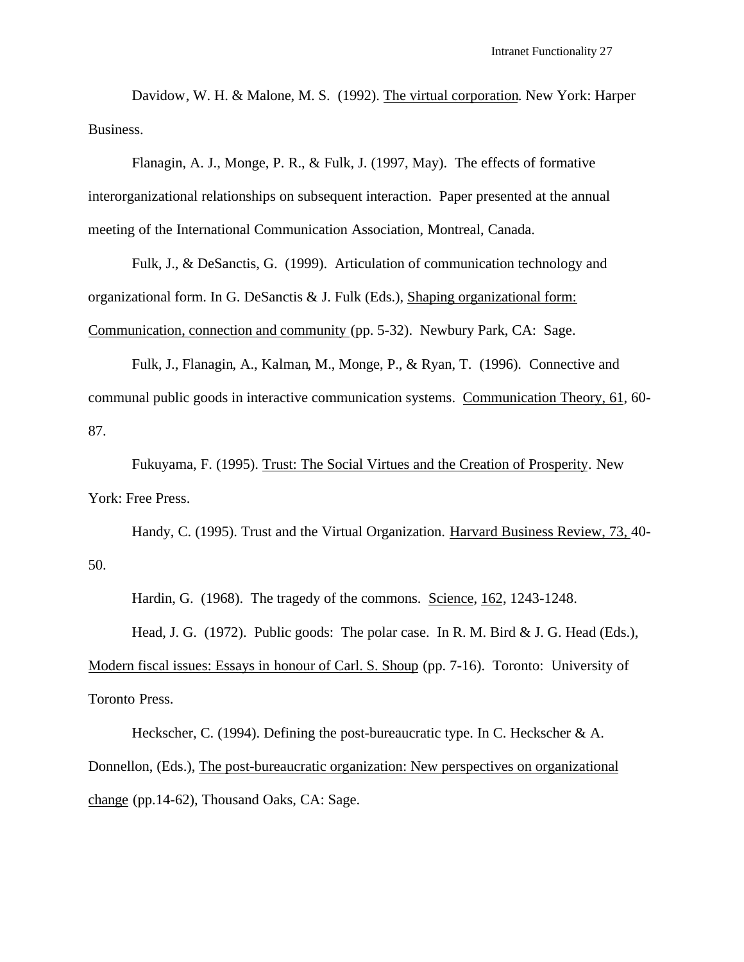Davidow, W. H. & Malone, M. S. (1992). The virtual corporation. New York: Harper Business.

Flanagin, A. J., Monge, P. R., & Fulk, J. (1997, May). The effects of formative interorganizational relationships on subsequent interaction. Paper presented at the annual meeting of the International Communication Association, Montreal, Canada.

Fulk, J., & DeSanctis, G. (1999). Articulation of communication technology and organizational form. In G. DeSanctis & J. Fulk (Eds.), Shaping organizational form: Communication, connection and community (pp. 5-32). Newbury Park, CA: Sage.

Fulk, J., Flanagin, A., Kalman, M., Monge, P., & Ryan, T. (1996). Connective and communal public goods in interactive communication systems. Communication Theory, 61, 60- 87.

Fukuyama, F. (1995). Trust: The Social Virtues and the Creation of Prosperity. New York: Free Press.

Handy, C. (1995). Trust and the Virtual Organization. Harvard Business Review, 73, 40- 50.

Hardin, G. (1968). The tragedy of the commons. Science, 162, 1243-1248.

Head, J. G. (1972). Public goods: The polar case. In R. M. Bird & J. G. Head (Eds.),

Modern fiscal issues: Essays in honour of Carl. S. Shoup (pp. 7-16). Toronto: University of Toronto Press.

Heckscher, C. (1994). Defining the post-bureaucratic type. In C. Heckscher & A. Donnellon, (Eds.), The post-bureaucratic organization: New perspectives on organizational change (pp.14-62), Thousand Oaks, CA: Sage.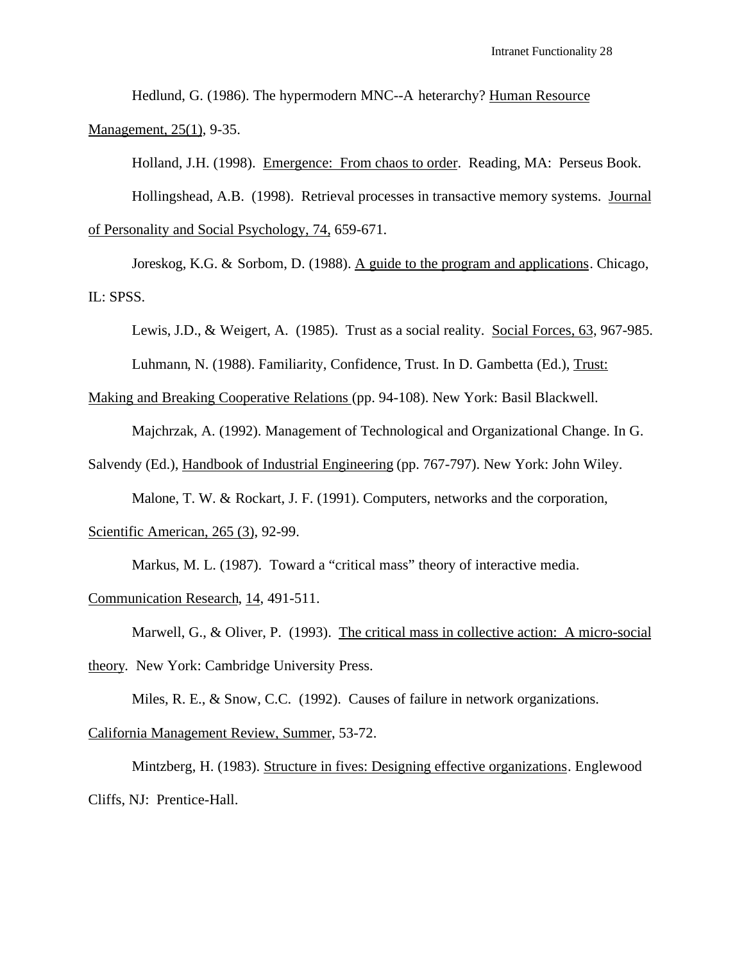Hedlund, G. (1986). The hypermodern MNC--A heterarchy? Human Resource Management, 25(1), 9-35.

Holland, J.H. (1998). Emergence: From chaos to order. Reading, MA: Perseus Book.

Hollingshead, A.B. (1998). Retrieval processes in transactive memory systems. Journal of Personality and Social Psychology, 74, 659-671.

Joreskog, K.G. & Sorbom, D. (1988). A guide to the program and applications. Chicago, IL: SPSS.

Lewis, J.D., & Weigert, A. (1985). Trust as a social reality. Social Forces, 63, 967-985.

Luhmann, N. (1988). Familiarity, Confidence, Trust. In D. Gambetta (Ed.), Trust:

Making and Breaking Cooperative Relations (pp. 94-108). New York: Basil Blackwell.

Majchrzak, A. (1992). Management of Technological and Organizational Change. In G.

Salvendy (Ed.), Handbook of Industrial Engineering (pp. 767-797). New York: John Wiley.

Malone, T. W. & Rockart, J. F. (1991). Computers, networks and the corporation,

Scientific American, 265 (3), 92-99.

Markus, M. L. (1987). Toward a "critical mass" theory of interactive media.

Communication Research, 14, 491-511.

Marwell, G., & Oliver, P. (1993). The critical mass in collective action: A micro-social theory. New York: Cambridge University Press.

Miles, R. E., & Snow, C.C. (1992). Causes of failure in network organizations.

California Management Review, Summer, 53-72.

Mintzberg, H. (1983). Structure in fives: Designing effective organizations. Englewood Cliffs, NJ: Prentice-Hall.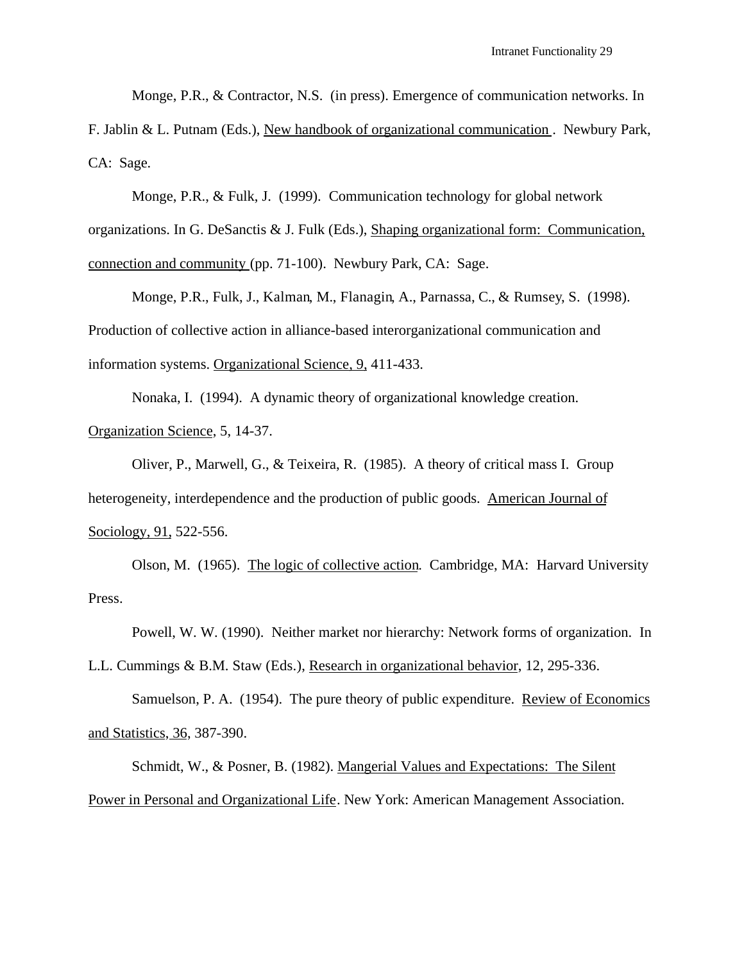Monge, P.R., & Contractor, N.S. (in press). Emergence of communication networks. In

F. Jablin & L. Putnam (Eds.), New handbook of organizational communication . Newbury Park, CA: Sage.

Monge, P.R., & Fulk, J. (1999). Communication technology for global network organizations. In G. DeSanctis & J. Fulk (Eds.), Shaping organizational form: Communication, connection and community (pp. 71-100). Newbury Park, CA: Sage.

Monge, P.R., Fulk, J., Kalman, M., Flanagin, A., Parnassa, C., & Rumsey, S. (1998). Production of collective action in alliance-based interorganizational communication and information systems. Organizational Science, 9, 411-433.

Nonaka, I. (1994). A dynamic theory of organizational knowledge creation. Organization Science, 5, 14-37.

Oliver, P., Marwell, G., & Teixeira, R. (1985). A theory of critical mass I. Group heterogeneity, interdependence and the production of public goods. American Journal of Sociology, 91, 522-556.

Olson, M. (1965). The logic of collective action. Cambridge, MA: Harvard University Press.

Powell, W. W. (1990). Neither market nor hierarchy: Network forms of organization. In L.L. Cummings & B.M. Staw (Eds.), Research in organizational behavior, 12, 295-336.

Samuelson, P. A. (1954). The pure theory of public expenditure. Review of Economics and Statistics, 36, 387-390.

Schmidt, W., & Posner, B. (1982). Mangerial Values and Expectations: The Silent Power in Personal and Organizational Life. New York: American Management Association.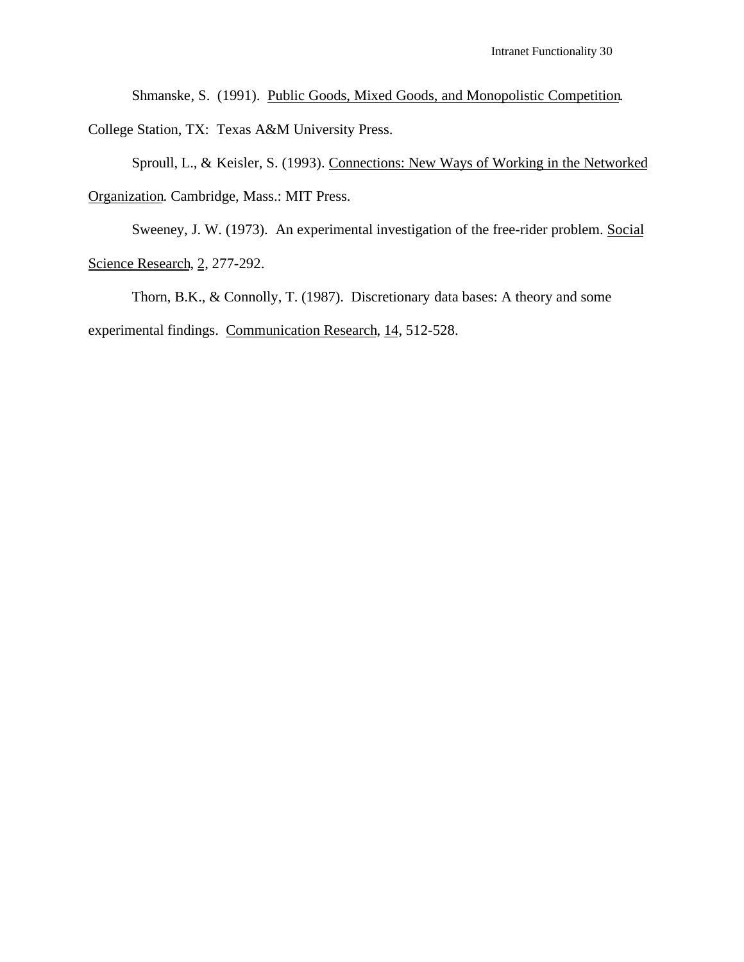Shmanske, S. (1991). Public Goods, Mixed Goods, and Monopolistic Competition. College Station, TX: Texas A&M University Press.

Sproull, L., & Keisler, S. (1993). Connections: New Ways of Working in the Networked Organization. Cambridge, Mass.: MIT Press.

Sweeney, J. W. (1973). An experimental investigation of the free-rider problem. Social Science Research, 2, 277-292.

Thorn, B.K., & Connolly, T. (1987). Discretionary data bases: A theory and some experimental findings. Communication Research, 14, 512-528.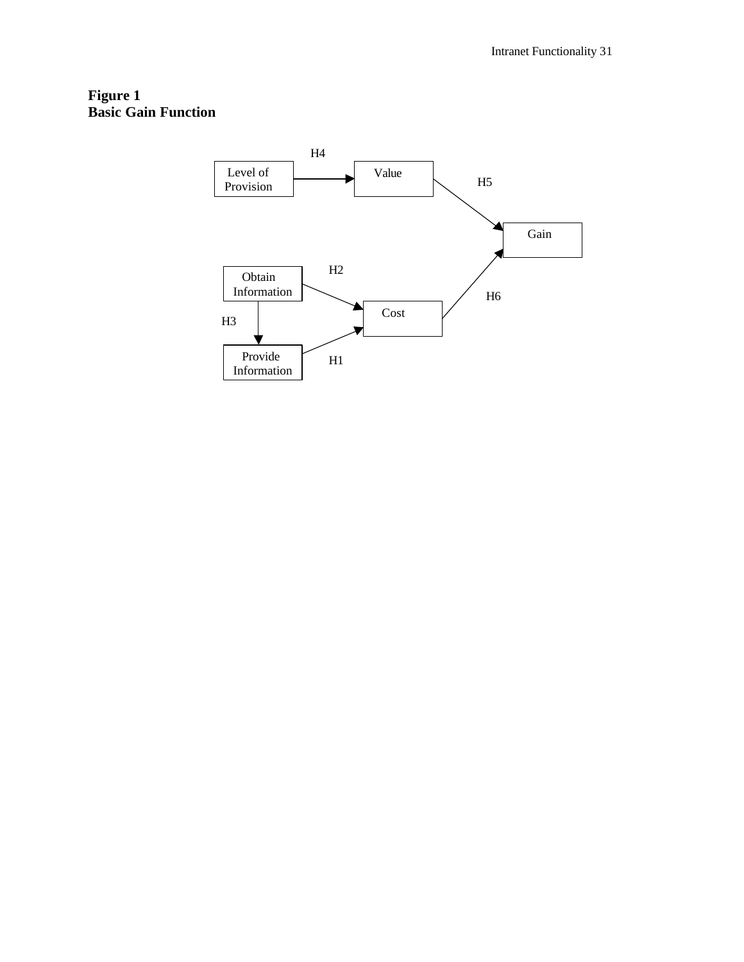## **Figure 1 Basic Gain Function**

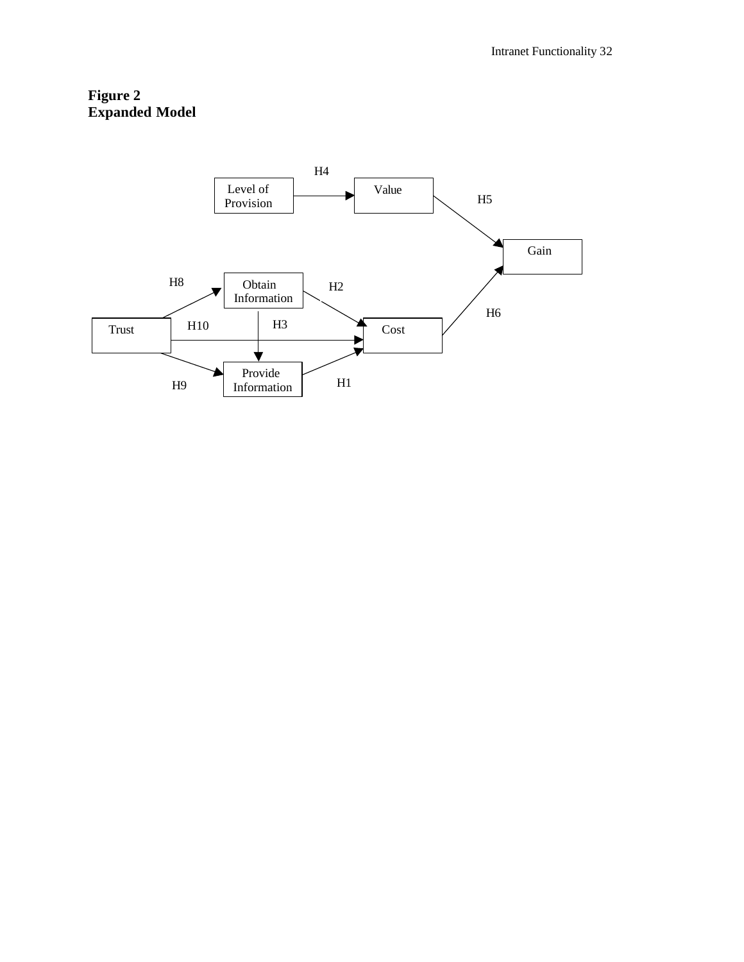# **Figure 2 Expanded Model**

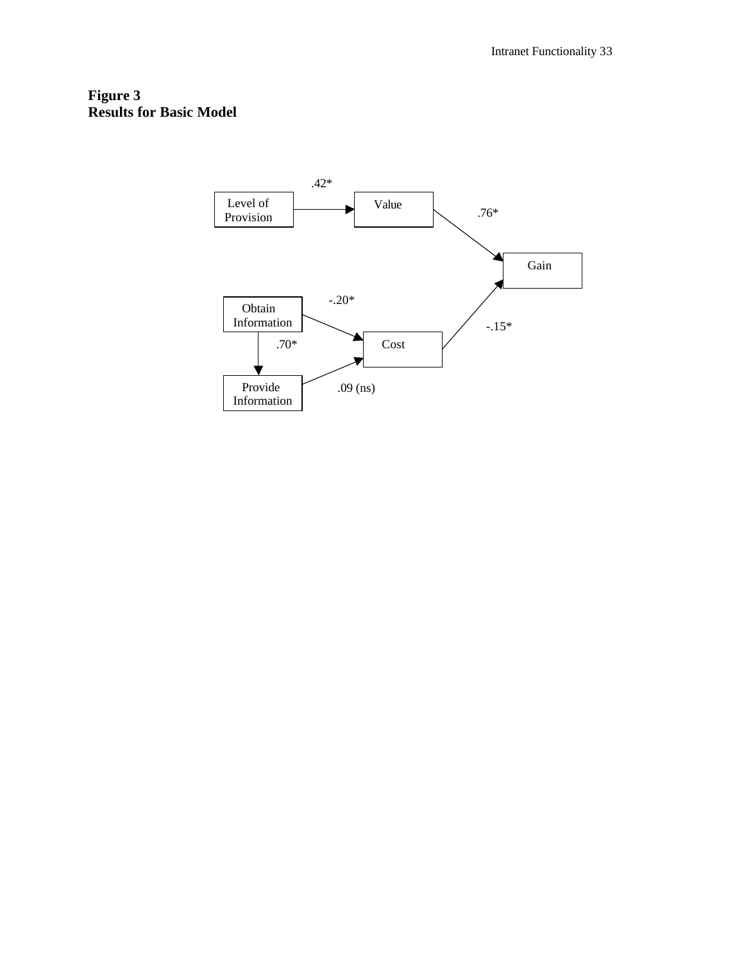# **Figure 3 Results for Basic Model**

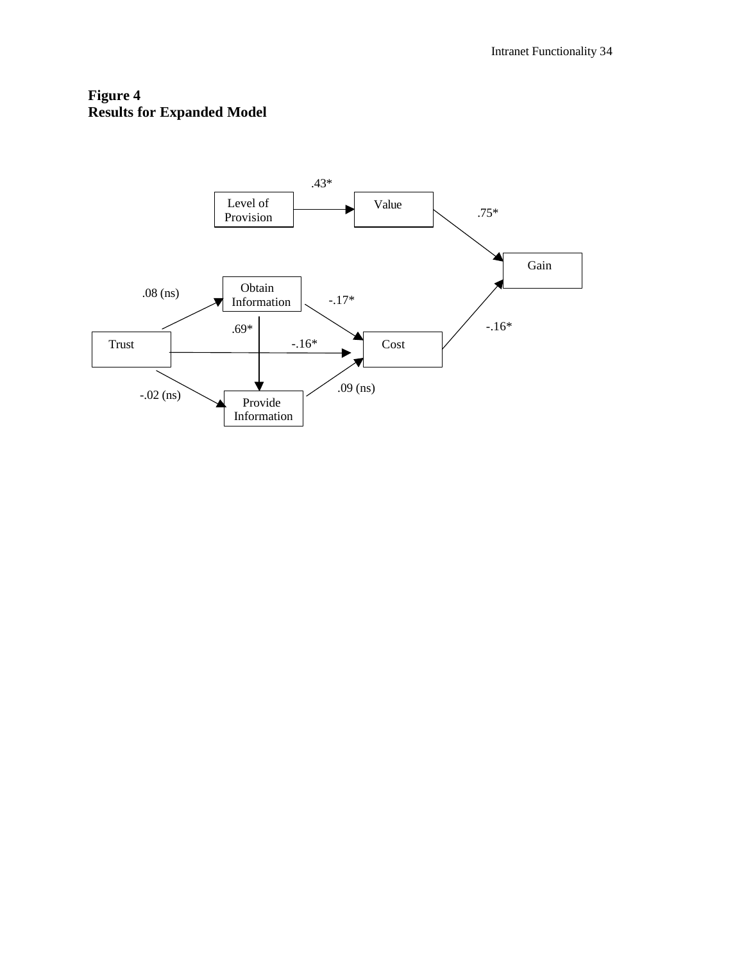# **Figure 4 Results for Expanded Model**

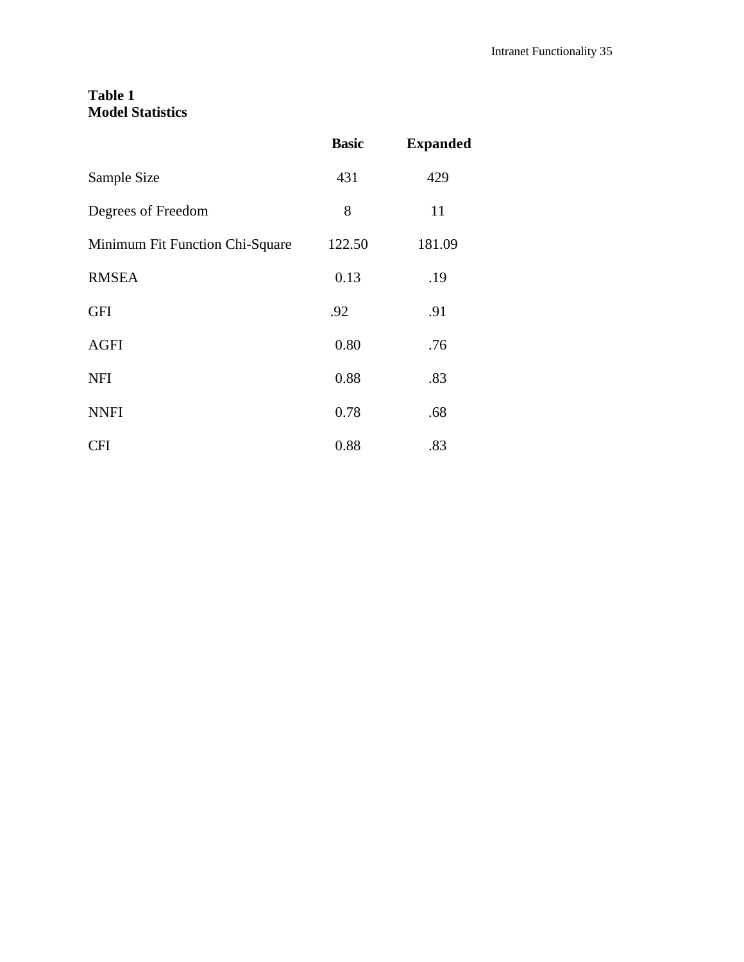# **Table 1 Model Statistics**

|                                 | <b>Basic</b> | <b>Expanded</b> |
|---------------------------------|--------------|-----------------|
| Sample Size                     | 431          | 429             |
| Degrees of Freedom              | 8            | 11              |
| Minimum Fit Function Chi-Square | 122.50       | 181.09          |
| <b>RMSEA</b>                    | 0.13         | .19             |
| <b>GFI</b>                      | .92          | .91             |
| <b>AGFI</b>                     | 0.80         | .76             |
| <b>NFI</b>                      | 0.88         | .83             |
| <b>NNFI</b>                     | 0.78         | .68             |
| <b>CFI</b>                      | 0.88         | .83             |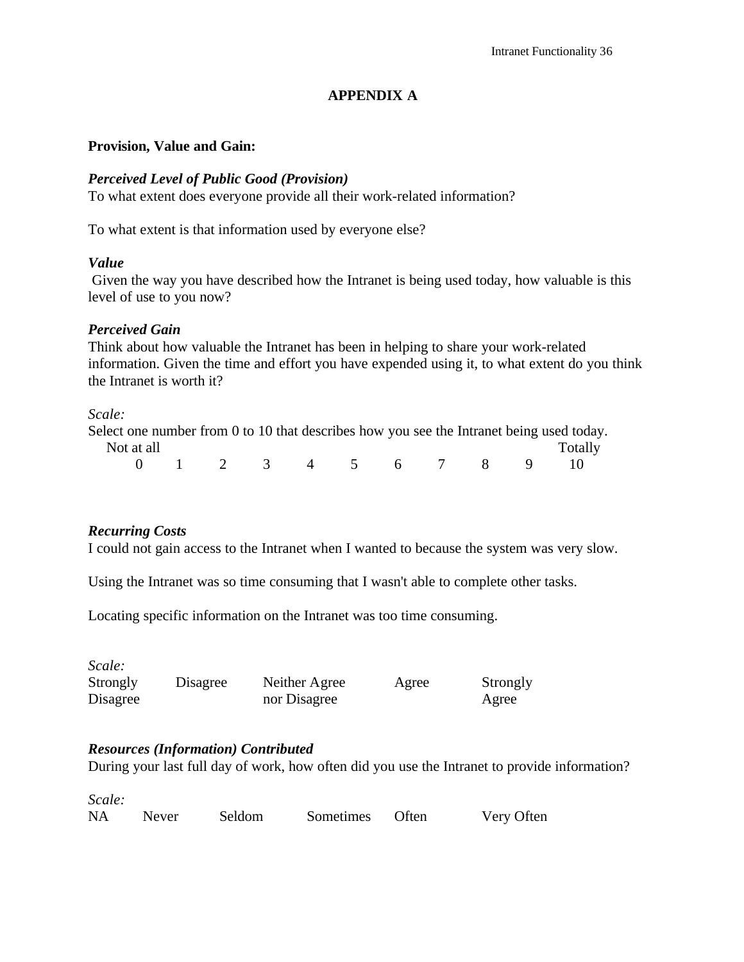# **APPENDIX A**

## **Provision, Value and Gain:**

## *Perceived Level of Public Good (Provision)*

To what extent does everyone provide all their work-related information?

To what extent is that information used by everyone else?

## *Value*

 Given the way you have described how the Intranet is being used today, how valuable is this level of use to you now?

## *Perceived Gain*

Think about how valuable the Intranet has been in helping to share your work-related information. Given the time and effort you have expended using it, to what extent do you think the Intranet is worth it?

## *Scale:*

| Select one number from 0 to 10 that describes how you see the Intranet being used today. |                        |  |  |  |  |         |
|------------------------------------------------------------------------------------------|------------------------|--|--|--|--|---------|
| Not at all                                                                               |                        |  |  |  |  | Totally |
|                                                                                          | 0 1 2 3 4 5 6 7 8 9 10 |  |  |  |  |         |

## *Recurring Costs*

I could not gain access to the Intranet when I wanted to because the system was very slow.

Using the Intranet was so time consuming that I wasn't able to complete other tasks.

Locating specific information on the Intranet was too time consuming.

| Scale:   |          |               |       |          |
|----------|----------|---------------|-------|----------|
| Strongly | Disagree | Neither Agree | Agree | Strongly |
| Disagree |          | nor Disagree  |       | Agree    |

## *Resources (Information) Contributed*

During your last full day of work, how often did you use the Intranet to provide information?

| Scale:    |       |        |                 |            |
|-----------|-------|--------|-----------------|------------|
| <b>NA</b> | Never | Seldom | Sometimes Often | Very Often |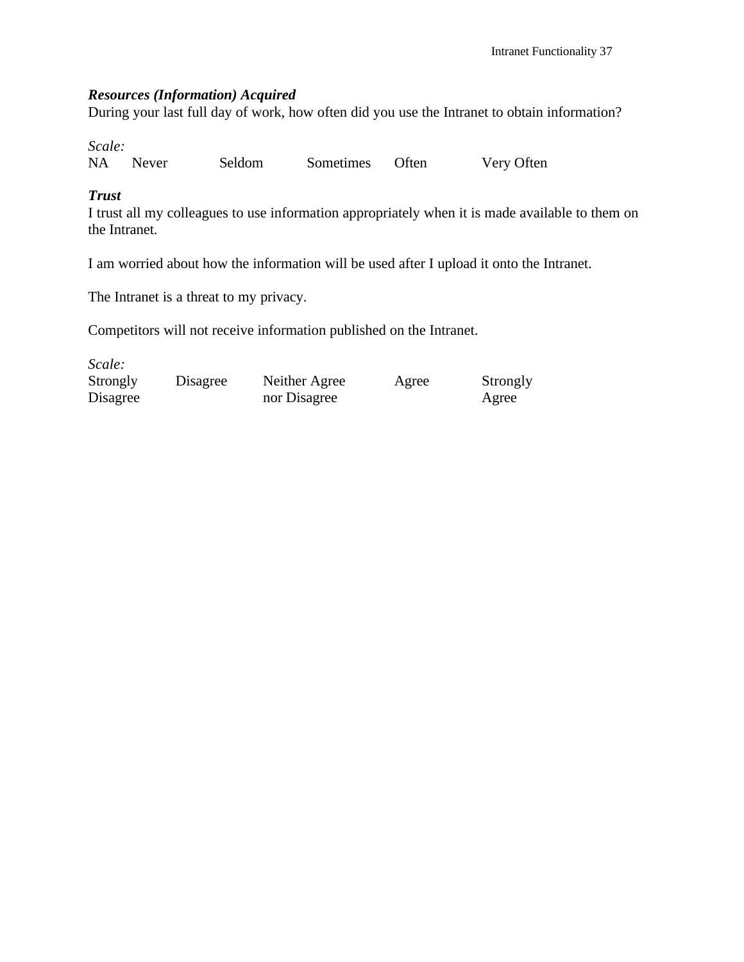## *Resources (Information) Acquired*

During your last full day of work, how often did you use the Intranet to obtain information?

*Scale:*

NA Never Seldom Sometimes Often Very Often

# *Trust*

I trust all my colleagues to use information appropriately when it is made available to them on the Intranet.

I am worried about how the information will be used after I upload it onto the Intranet.

The Intranet is a threat to my privacy.

Competitors will not receive information published on the Intranet.

| Scale:   |          |               |       |          |
|----------|----------|---------------|-------|----------|
| Strongly | Disagree | Neither Agree | Agree | Strongly |
| Disagree |          | nor Disagree  |       | Agree    |